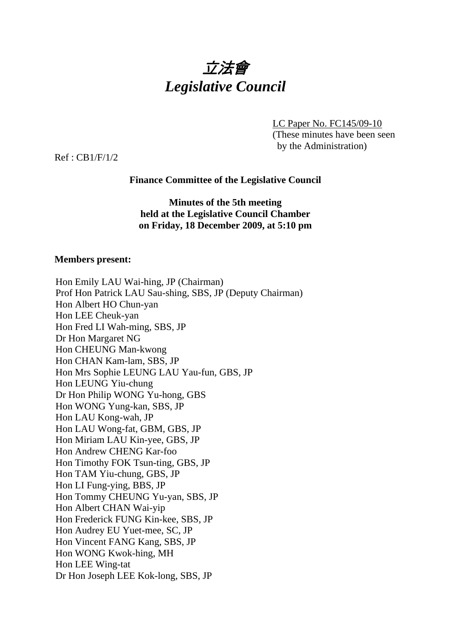

LC Paper No. FC145/09-10 (These minutes have been seen by the Administration)

Ref : CB1/F/1/2

## **Finance Committee of the Legislative Council**

### **Minutes of the 5th meeting held at the Legislative Council Chamber on Friday, 18 December 2009, at 5:10 pm**

#### **Members present:**

| Hon Emily LAU Wai-hing, JP (Chairman)                     |
|-----------------------------------------------------------|
| Prof Hon Patrick LAU Sau-shing, SBS, JP (Deputy Chairman) |
| Hon Albert HO Chun-yan                                    |
| Hon LEE Cheuk-yan                                         |
| Hon Fred LI Wah-ming, SBS, JP                             |
| Dr Hon Margaret NG                                        |
| Hon CHEUNG Man-kwong                                      |
| Hon CHAN Kam-lam, SBS, JP                                 |
| Hon Mrs Sophie LEUNG LAU Yau-fun, GBS, JP                 |
| Hon LEUNG Yiu-chung                                       |
| Dr Hon Philip WONG Yu-hong, GBS                           |
| Hon WONG Yung-kan, SBS, JP                                |
| Hon LAU Kong-wah, JP                                      |
| Hon LAU Wong-fat, GBM, GBS, JP                            |
| Hon Miriam LAU Kin-yee, GBS, JP                           |
| Hon Andrew CHENG Kar-foo                                  |
| Hon Timothy FOK Tsun-ting, GBS, JP                        |
| Hon TAM Yiu-chung, GBS, JP                                |
| Hon LI Fung-ying, BBS, JP                                 |
| Hon Tommy CHEUNG Yu-yan, SBS, JP                          |
| Hon Albert CHAN Wai-yip                                   |
| Hon Frederick FUNG Kin-kee, SBS, JP                       |
| Hon Audrey EU Yuet-mee, SC, JP                            |
| Hon Vincent FANG Kang, SBS, JP                            |
| Hon WONG Kwok-hing, MH                                    |
| Hon LEE Wing-tat                                          |
| Dr Hon Joseph LEE Kok-long, SBS, JP                       |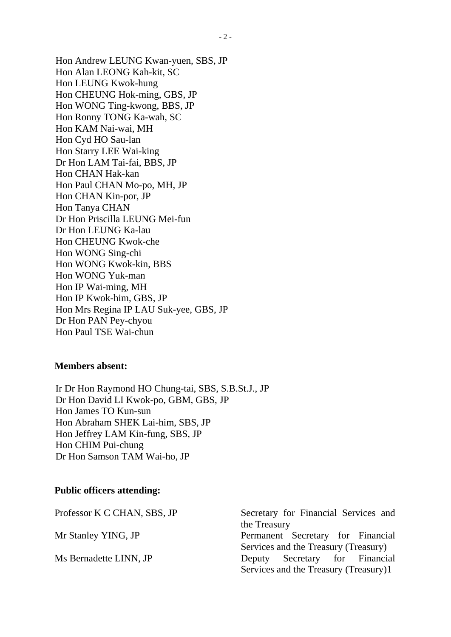Hon Andrew LEUNG Kwan-yuen, SBS, JP Hon Alan LEONG Kah-kit, SC Hon LEUNG Kwok-hung Hon CHEUNG Hok-ming, GBS, JP Hon WONG Ting-kwong, BBS, JP Hon Ronny TONG Ka-wah, SC Hon KAM Nai-wai, MH Hon Cyd HO Sau-lan Hon Starry LEE Wai-king Dr Hon LAM Tai-fai, BBS, JP Hon CHAN Hak-kan Hon Paul CHAN Mo-po, MH, JP Hon CHAN Kin-por, JP Hon Tanya CHAN Dr Hon Priscilla LEUNG Mei-fun Dr Hon LEUNG Ka-lau Hon CHEUNG Kwok-che Hon WONG Sing-chi Hon WONG Kwok-kin, BBS Hon WONG Yuk-man Hon IP Wai-ming, MH Hon IP Kwok-him, GBS, JP Hon Mrs Regina IP LAU Suk-yee, GBS, JP Dr Hon PAN Pey-chyou Hon Paul TSE Wai-chun

#### **Members absent:**

Ir Dr Hon Raymond HO Chung-tai, SBS, S.B.St.J., JP Dr Hon David LI Kwok-po, GBM, GBS, JP Hon James TO Kun-sun Hon Abraham SHEK Lai-him, SBS, JP Hon Jeffrey LAM Kin-fung, SBS, JP Hon CHIM Pui-chung Dr Hon Samson TAM Wai-ho, JP

#### **Public officers attending:**

| Professor K C CHAN, SBS, JP | Secretary for Financial Services and  |
|-----------------------------|---------------------------------------|
|                             | the Treasury                          |
| Mr Stanley YING, JP         | Permanent Secretary for Financial     |
|                             | Services and the Treasury (Treasury)  |
| Ms Bernadette LINN, JP      | Deputy Secretary for Financial        |
|                             | Services and the Treasury (Treasury)1 |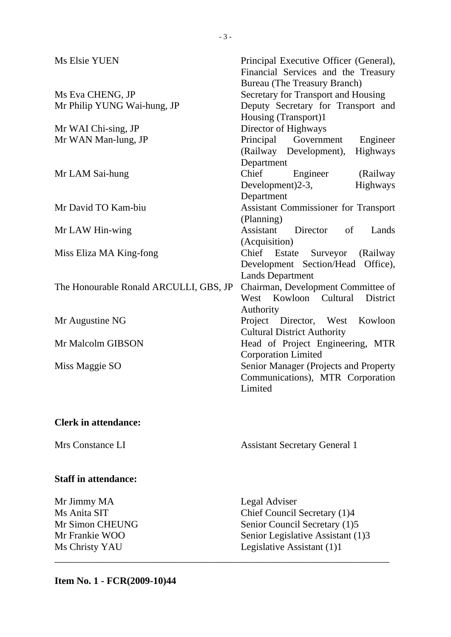| Ms Elsie YUEN                              | Principal Executive Officer (General),<br>Financial Services and the Treasury<br><b>Bureau</b> (The Treasury Branch) |
|--------------------------------------------|----------------------------------------------------------------------------------------------------------------------|
| Ms Eva CHENG, JP                           | Secretary for Transport and Housing                                                                                  |
| Mr Philip YUNG Wai-hung, JP                | Deputy Secretary for Transport and                                                                                   |
|                                            | Housing (Transport)1                                                                                                 |
| Mr WAI Chi-sing, JP<br>Mr WAN Man-lung, JP | Director of Highways<br>Principal Government                                                                         |
|                                            | Engineer                                                                                                             |
|                                            | (Railway Development),<br>Highways                                                                                   |
|                                            | Department                                                                                                           |
| Mr LAM Sai-hung                            | Chief<br>Engineer<br>(Railway)                                                                                       |
|                                            | Highways<br>Development) $2-3$ ,                                                                                     |
|                                            | Department                                                                                                           |
| Mr David TO Kam-biu                        | <b>Assistant Commissioner for Transport</b>                                                                          |
|                                            | (Planning)<br>Assistant Director<br>of                                                                               |
| Mr LAW Hin-wing                            | Lands                                                                                                                |
|                                            | (Acquisition)                                                                                                        |
| Miss Eliza MA King-fong                    | Chief Estate Surveyor (Railway<br>Development Section/Head                                                           |
|                                            | Office),                                                                                                             |
|                                            | <b>Lands Department</b>                                                                                              |
| The Honourable Ronald ARCULLI, GBS, JP     | Chairman, Development Committee of<br>West Kowloon Cultural<br>District                                              |
|                                            |                                                                                                                      |
|                                            | Authority<br>Kowloon                                                                                                 |
| Mr Augustine NG                            | Project Director, West                                                                                               |
| Mr Malcolm GIBSON                          | <b>Cultural District Authority</b>                                                                                   |
|                                            | Head of Project Engineering, MTR                                                                                     |
|                                            | <b>Corporation Limited</b>                                                                                           |
| Miss Maggie SO                             | Senior Manager (Projects and Property                                                                                |
|                                            | Communications), MTR Corporation                                                                                     |
|                                            | Limited                                                                                                              |
|                                            |                                                                                                                      |
| <b>Clerk in attendance:</b>                |                                                                                                                      |
| Mrs Constance LI                           | <b>Assistant Secretary General 1</b>                                                                                 |
|                                            |                                                                                                                      |
| <b>Staff in attendance:</b>                |                                                                                                                      |

\_\_\_\_\_\_\_\_\_\_\_\_\_\_\_\_\_\_\_\_\_\_\_\_\_\_\_\_\_\_\_\_\_\_\_\_\_\_\_\_\_\_\_\_\_\_\_\_\_\_\_\_\_\_\_\_\_\_\_\_\_\_\_\_\_\_\_\_

Mr Jimmy MA Legal Adviser Ms Anita SIT Chief Council Secretary (1)4 Mr Simon CHEUNG<br>
Mr Frankie WOO Senior Legislative Assistant (1) Senior Legislative Assistant (1)3 Ms Christy YAU Legislative Assistant (1)1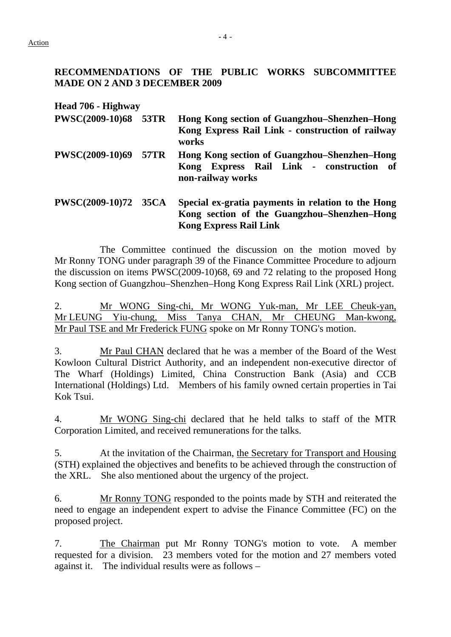### **RECOMMENDATIONS OF THE PUBLIC WORKS SUBCOMMITTEE MADE ON 2 AND 3 DECEMBER 2009**

**Head 706 - Highway** 

- **PWSC(2009-10)68 53TR Hong Kong section of Guangzhou–Shenzhen–Hong Kong Express Rail Link - construction of railway works**
- **PWSC(2009-10)69 57TR Hong Kong section of Guangzhou–Shenzhen–Hong Kong Express Rail Link - construction of non-railway works**

## **PWSC(2009-10)72 35CA Special ex-gratia payments in relation to the Hong Kong section of the Guangzhou–Shenzhen–Hong Kong Express Rail Link**

 The Committee continued the discussion on the motion moved by Mr Ronny TONG under paragraph 39 of the Finance Committee Procedure to adjourn the discussion on items PWSC(2009-10)68, 69 and 72 relating to the proposed Hong Kong section of Guangzhou–Shenzhen–Hong Kong Express Rail Link (XRL) project.

2. Mr WONG Sing-chi, Mr WONG Yuk-man, Mr LEE Cheuk-yan, Mr LEUNG Yiu-chung, Miss Tanya CHAN, Mr CHEUNG Man-kwong, Mr Paul TSE and Mr Frederick FUNG spoke on Mr Ronny TONG's motion.

3. Mr Paul CHAN declared that he was a member of the Board of the West Kowloon Cultural District Authority, and an independent non-executive director of The Wharf (Holdings) Limited, China Construction Bank (Asia) and CCB International (Holdings) Ltd. Members of his family owned certain properties in Tai Kok Tsui.

4. Mr WONG Sing-chi declared that he held talks to staff of the MTR Corporation Limited, and received remunerations for the talks.

5. At the invitation of the Chairman, the Secretary for Transport and Housing (STH) explained the objectives and benefits to be achieved through the construction of the XRL. She also mentioned about the urgency of the project.

6. Mr Ronny TONG responded to the points made by STH and reiterated the need to engage an independent expert to advise the Finance Committee (FC) on the proposed project.

7. The Chairman put Mr Ronny TONG's motion to vote. A member requested for a division. 23 members voted for the motion and 27 members voted against it. The individual results were as follows –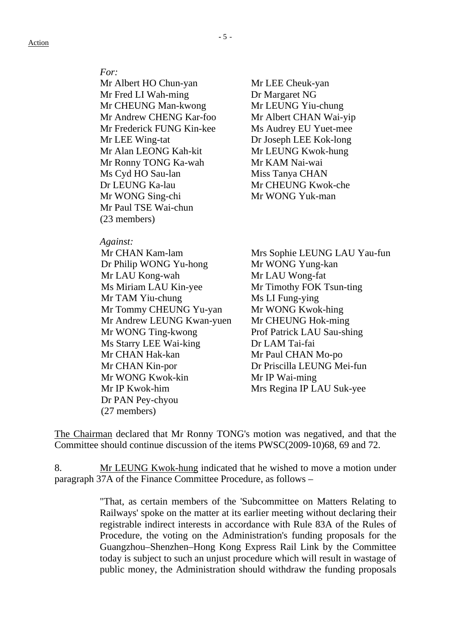#### *For:*

Mr Albert HO Chun-yan Mr LEE Cheuk-yan Mr Fred LI Wah-ming Dr Margaret NG Mr CHEUNG Man-kwong Mr LEUNG Yiu-chung Mr Andrew CHENG Kar-foo Mr Albert CHAN Wai-yip Mr Frederick FUNG Kin-kee Ms Audrey EU Yuet-mee Mr LEE Wing-tat Dr Joseph LEE Kok-long Mr Alan LEONG Kah-kit Mr LEUNG Kwok-hung Mr Ronny TONG Ka-wah Mr KAM Nai-wai Ms Cyd HO Sau-lan Miss Tanya CHAN Dr LEUNG Ka-lau Mr CHEUNG Kwok-che Mr WONG Sing-chi Mr WONG Yuk-man Mr Paul TSE Wai-chun (23 members)

#### *Against:*

Dr Philip WONG Yu-hong Mr WONG Yung-kan Mr LAU Kong-wah Mr LAU Wong-fat Ms Miriam LAU Kin-yee Mr Timothy FOK Tsun-ting Mr TAM Yiu-chung Ms LI Fung-ying Mr Tommy CHEUNG Yu-yan Mr WONG Kwok-hing Mr Andrew LEUNG Kwan-yuen Mr CHEUNG Hok-ming Mr WONG Ting-kwong Prof Patrick LAU Sau-shing Ms Starry LEE Wai-king Dr LAM Tai-fai Mr CHAN Hak-kan Mr Paul CHAN Mo-po Mr CHAN Kin-por Dr Priscilla LEUNG Mei-fun Mr WONG Kwok-kin Mr IP Wai-ming Mr IP Kwok-him Mrs Regina IP LAU Suk-yee Dr PAN Pey-chyou (27 members)

Mr CHAN Kam-lam Mrs Sophie LEUNG LAU Yau-fun

The Chairman declared that Mr Ronny TONG's motion was negatived, and that the Committee should continue discussion of the items PWSC(2009-10)68, 69 and 72.

8. Mr LEUNG Kwok-hung indicated that he wished to move a motion under paragraph 37A of the Finance Committee Procedure, as follows –

> "That, as certain members of the 'Subcommittee on Matters Relating to Railways' spoke on the matter at its earlier meeting without declaring their registrable indirect interests in accordance with Rule 83A of the Rules of Procedure, the voting on the Administration's funding proposals for the Guangzhou–Shenzhen–Hong Kong Express Rail Link by the Committee today is subject to such an unjust procedure which will result in wastage of public money, the Administration should withdraw the funding proposals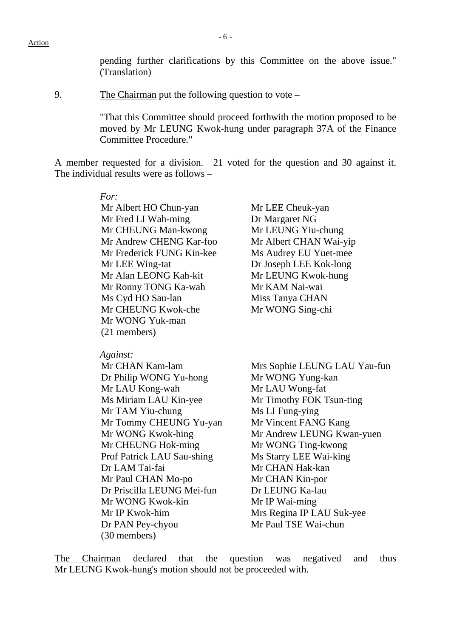pending further clarifications by this Committee on the above issue." (Translation)

9. The Chairman put the following question to vote –

"That this Committee should proceed forthwith the motion proposed to be moved by Mr LEUNG Kwok-hung under paragraph 37A of the Finance Committee Procedure."

A member requested for a division. 21 voted for the question and 30 against it. The individual results were as follows –

> *For:*  Mr Albert HO Chun-yan Mr LEE Cheuk-yan Mr Fred LI Wah-ming Dr Margaret NG Mr CHEUNG Man-kwong Mr LEUNG Yiu-chung Mr Andrew CHENG Kar-foo Mr Albert CHAN Wai-yip Mr Frederick FUNG Kin-kee Ms Audrey EU Yuet-mee Mr LEE Wing-tat Dr Joseph LEE Kok-long Mr Alan LEONG Kah-kit Mr LEUNG Kwok-hung Mr Ronny TONG Ka-wah Mr KAM Nai-wai Ms Cyd HO Sau-lan Miss Tanya CHAN Mr CHEUNG Kwok-che Mr WONG Sing-chi Mr WONG Yuk-man (21 members)

 *Against:* 

Dr Philip WONG Yu-hong Mr WONG Yung-kan Mr LAU Kong-wah Mr LAU Wong-fat Ms Miriam LAU Kin-yee Mr Timothy FOK Tsun-ting Mr TAM Yiu-chung Ms LI Fung-ying Mr Tommy CHEUNG Yu-yan Mr Vincent FANG Kang Mr CHEUNG Hok-ming Mr WONG Ting-kwong Prof Patrick LAU Sau-shing Ms Starry LEE Wai-king Dr LAM Tai-fai Mr CHAN Hak-kan Mr Paul CHAN Mo-po Mr CHAN Kin-por Dr Priscilla LEUNG Mei-fun Dr LEUNG Ka-lau Mr WONG Kwok-kin Mr IP Wai-ming Mr IP Kwok-him Mrs Regina IP LAU Suk-yee Dr PAN Pey-chyou Mr Paul TSE Wai-chun (30 members)

Mr CHAN Kam-lam Mrs Sophie LEUNG LAU Yau-fun Mr WONG Kwok-hing Mr Andrew LEUNG Kwan-yuen

The Chairman declared that the question was negatived and thus Mr LEUNG Kwok-hung's motion should not be proceeded with.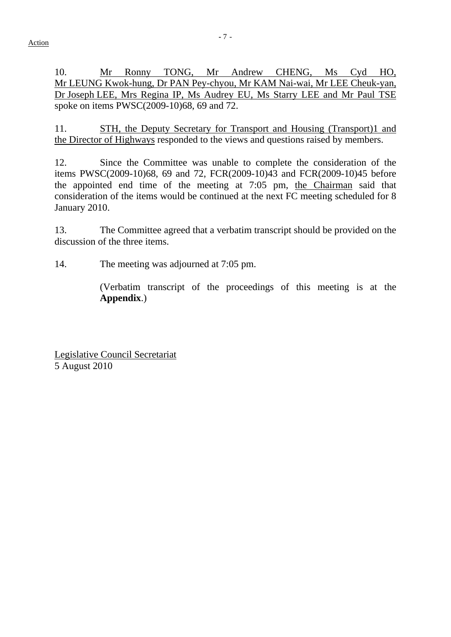10. Mr Ronny TONG, Mr Andrew CHENG, Ms Cyd HO, Mr LEUNG Kwok-hung, Dr PAN Pey-chyou, Mr KAM Nai-wai, Mr LEE Cheuk-yan, Dr Joseph LEE, Mrs Regina IP, Ms Audrey EU, Ms Starry LEE and Mr Paul TSE spoke on items PWSC(2009-10)68, 69 and 72.

11. STH, the Deputy Secretary for Transport and Housing (Transport)1 and the Director of Highways responded to the views and questions raised by members.

12. Since the Committee was unable to complete the consideration of the items PWSC(2009-10)68, 69 and 72, FCR(2009-10)43 and FCR(2009-10)45 before the appointed end time of the meeting at 7:05 pm, the Chairman said that consideration of the items would be continued at the next FC meeting scheduled for 8 January 2010.

13. The Committee agreed that a verbatim transcript should be provided on the discussion of the three items.

14. The meeting was adjourned at 7:05 pm.

 (Verbatim transcript of the proceedings of this meeting is at the **Appendix**.)

Legislative Council Secretariat 5 August 2010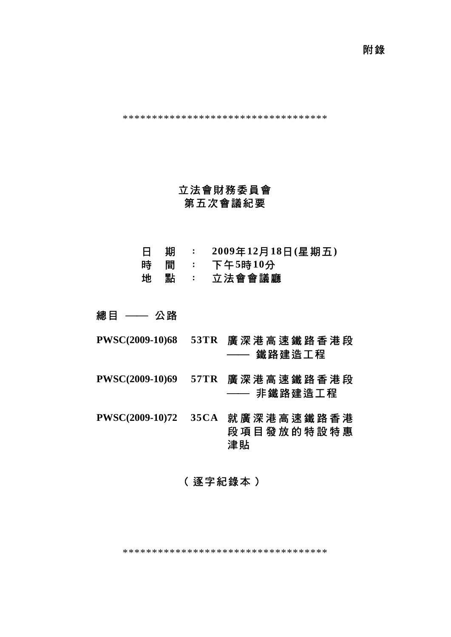附錄

\*\*\*\*\*\*\*\*\*\*\*\*\*\*\*\*\*\*\*\*\*\*\*\*\*\*\*\*\*\*\*\*\*\*\*

# 立法會財務委員會 第五次會議紀要

- 日 期 : **2009**年**12**月**18**日**(**星期五**)**
- 時 間 : 下午**5**時**10**分
- 地 點 : 立法會會議廳

總目 —— 公路

- **PWSC(2009-10)68 53TR** 廣深港高速鐵路香港段 —— 鐵路建造工程
- **PWSC(2009-10)69 57TR** 廣深港高速鐵路香港段 —— 非鐵路建造工程

**PWSC(2009-10)72 35CA** 就廣深港高速鐵路香港 段項目發放的特設特惠 津貼

# (逐字紀錄本)

\*\*\*\*\*\*\*\*\*\*\*\*\*\*\*\*\*\*\*\*\*\*\*\*\*\*\*\*\*\*\*\*\*\*\*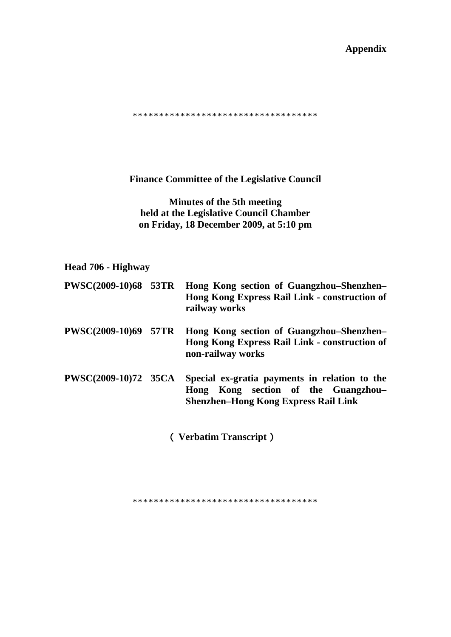## **Appendix**

\*\*\*\*\*\*\*\*\*\*\*\*\*\*\*\*\*\*\*\*\*\*\*\*\*\*\*\*\*\*\*\*\*\*\*

**Finance Committee of the Legislative Council** 

**Minutes of the 5th meeting held at the Legislative Council Chamber on Friday, 18 December 2009, at 5:10 pm** 

# **Head 706 - Highway**

|                             | PWSC(2009-10)68 53TR Hong Kong section of Guangzhou-Shenzhen-<br>Hong Kong Express Rail Link - construction of<br>railway works     |
|-----------------------------|-------------------------------------------------------------------------------------------------------------------------------------|
| <b>PWSC(2009-10)69 57TR</b> | Hong Kong section of Guangzhou–Shenzhen–<br>Hong Kong Express Rail Link - construction of<br>non-railway works                      |
| <b>PWSC(2009-10)72 35CA</b> | Special ex-gratia payments in relation to the<br>Hong Kong section of the Guangzhou-<br><b>Shenzhen-Hong Kong Express Rail Link</b> |

(**Verbatim Transcript**)

\*\*\*\*\*\*\*\*\*\*\*\*\*\*\*\*\*\*\*\*\*\*\*\*\*\*\*\*\*\*\*\*\*\*\*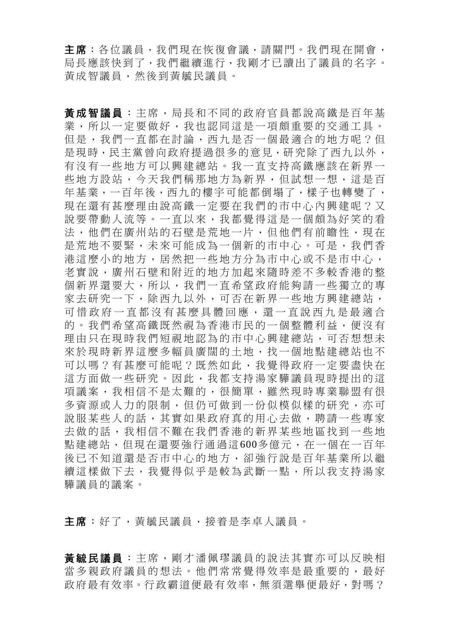主席:各位議員,我們現在恢復會議,請關門。我們現在開會, 局長應該快到了,我們繼續進行,我剛才已讀出了議員的名字。 黃成智議員,然後到黃毓民議員。

黃成智議員 :主席,局長和不同的政府官員都說高鐵是百年基 業,所以一定要做好,我也認同這是一項頗重要的交通工具。 但是,我們一直都在討論,西九是否一個最適合的地方呢?但 是現時,民主黨曾向政府提過很多的意見,研究除了西九以外, 有沒有一些地方可以興建總站。我一直支持高鐵應該在新界一 些地方設站,今天我們稱那地方為新界,但試想一想,這是百 年基業,一百年後,西九的樓宇可能都倒塌了,樣子也轉變了, 現在還有甚麼理由說高鐵一定要在我們的市中心內興建呢?又 說要帶動人流等。一直以來,我都覺得這是一個頗為好笑的看 法,他們在廣州站的石壁是荒地一片,但他們有前瞻性,現在 是荒地不要緊,未來可能成為一個新的市中心。可是,我們香 港這麼小的地方,居然把一些地方分為市中心或不是市中心, 老實說,廣州石壁和附近的地方加起來隨時差不多較香港的整 個新界還要大,所以,我們一直希望政府能夠請一些獨立的專 家去研究一下,除西九以外,可否在新界一些地方興建總站, 可惜政府一直都沒有甚麼具體回應,還一直說西九是最適合 的。我們希望高鐵既然視為香港市民的一個整體利益,便沒有 理由只在現時我們短視地認為的市中心興建總站,可否想想未 來於現時新界這麼多幅員廣闊的土地,找一個地點建總站也不 可以嗎?有甚麼可能呢?既然如此,我覺得政府一定要盡快在 這方面做一些研究。因此,我都支持湯家驊議員現時提出的這 項議案,我相信不是太難的,很簡單,雖然現時專業聯盟有很 多資源或人力的限制,但仍可做到一份似模似樣的研究,亦可 說服某些人的話,其實如果政府真的用心去做,聘請一些專家 去做的話,我相信不難在我們香港的新界某些地區找到一些地 點建總站,但現在還要強行通過這600多億元,在一個在一百年 後已不知道還是否市中心的地方,卻強行說是百年基業所以繼 續這樣做下去,我覺得似乎是較為武斷一點,所以我支持湯家 驊議員的議案。

主席:好了,黃毓民議員,接着是李卓人議員。

黃毓民議員 :主席,剛才潘佩璆議員的說法其實亦可以反映相 當多親政府議員的想法。他們常常覺得效率是最重要的,最好 政府最有效率。行政霸道便最有效率, 無須選舉便最好, 對嗎?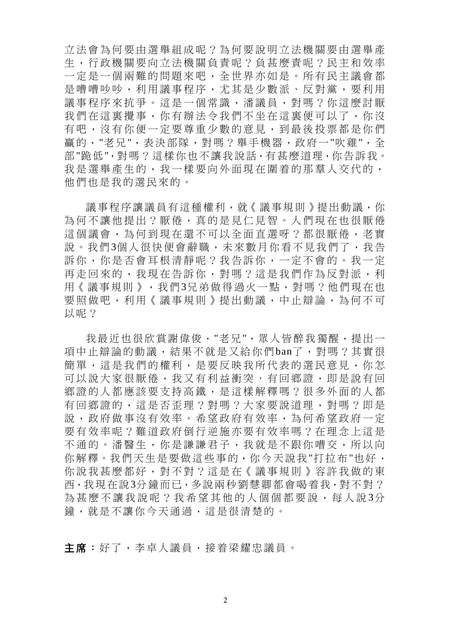立法會為何要由選舉組成呢?為何要說明立法機關要由選舉產 生,行政機關要向立法機關負責呢?負甚麼責呢?民主和效率 一定是一個兩難的問題來吧,全世界亦如是。所有民主議會都 是嘈嘈吵吵,利用議事程序,尤其是少數派、反對黨,要利用 議事程序來抗爭。這是一個常識,潘議員,對嗎?你這麼討厭 我們在這裏攪事,你有辦法今我們不坐在這裏便可以了,你沒 有吧,沒有你便一定要尊重少數的意見,到最後投票都是你們 贏的,"老兄",表決部隊,對嗎?舉手機器,政府一"吹雞",全 部"跪低",對嗎?這樣你也不讓我說話,有甚麼道理,你告訴我。 我是選舉產生的,我一樣要向外面現在圍着的那羣人交代的, 他們也是我的選民來的。

議事程序讓議員有這種權利,就《議事規則》提出動議,你 為何不讓他提出?厭倦,真的是見仁見智。人們現在也很厭倦 這個議會,為何到現在還不可以全面直選呀?都很厭倦,老實 說。我們3個人很快便會辭職,未來數月你看不見我們了,我告 訴你,你是否會耳根清靜呢?我告訴你,一定不會的。我一定 再走回來的,我現在告訴你,對嗎?這是我們作為反對派,利 用《議事規則》,我們3兄弟做得過火一點,對嗎?他們現在也 要照做吧,利用《議事規則》提出動議,中止辯論,為何不可 以呢?

我最沂也很欣賞謝偉俊, "老兄", 眾人皆醉我獨醒, 提出一 項中止辯論的動議,結果不就是又給你們ban了,對嗎?其實很 簡單,這是我們的權利,是要反映我所代表的選民意見,你怎 可以說大家很厭倦,我又有利益衝突、有回鄉證,即是說有回 鄉證的人都應該要支持高鐵,是這樣解釋嗎?很多外面的人都 有回鄉證的,這是否歪理?對嗎?大家要說道理,對嗎?即是 說,政府做事沒有效率。希望政府有效率,為何希望政府一定 要有效率呢?難道政府倒行逆施亦要有效率嗎?在理念上這是 不通的。潘醫生,你是謙謙君子,我就是不跟你嘈交,所以向 你解釋。我們天生是要做這些事的,你今天說我"打拉布"也好, 你說我甚麼都好,對不對?這是在《議事規則》容許我做的東 西,我現在說3分鐘而已,多說兩秒劉慧卿都會喝着我,對不對? 為甚麼不讓我說呢?我希望其他的人個個都要說,每人說 3分 鐘,就是不讓你今天通過,這是很清楚的。

主席:好了,李卓人議員,接着梁耀忠議員。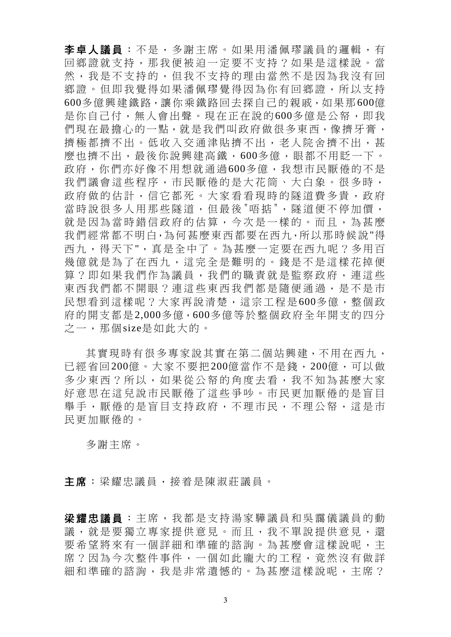李卓人議員:不是,多謝主席。如果用潘佩璆議員的邏輯,有 回鄉證就支持,那我便被迫一定要不支持?如果是這樣說。當 然,我是不支持的,但我不支持的理由當然不是因為我沒有回 鄉證。但即我覺得如果潘佩璆覺得因為你有回鄉證,所以支持 600多億興建鐵路,讓你乘鐵路回去探自己的親戚,如果那600億 是你自己付,無人會出聲。現在正在說的600多億是公帑,即我 們現在最擔心的一點,就是我們叫政府做很多東西,像擠牙膏, 擠極都擠不出。低收入交通津貼擠不出,老人院舍擠不出,甚 麼也擠不出,最後你說興建高鐵,600多億,眼都不用眨一下。 政府,你們亦好像不用想就通過600多億,我想市民厭倦的不是 我們議會這些程序,市民厭倦的是大花筒、大白象。很多時, 政府做的估計,信它都死。大家看看現時的隊道費多貴,政府 當時說很多人用那些隧道,但最後"唔掂",隧道便不停加價, 就是因為當時錯信政府的估算,今次是一樣的。而且,為甚麼 我們經常都不明白,為何甚麼東西都要在西九,所以那時候說"得 西九,得天下",真是全中了。為甚麼一定要在西九呢?多用百 幾億就是為了在西九,這完全是難明的。錢是不是這樣花掉便 算?即如果我們作為議員,我們的職責就是監察政府,連這些 東西我們都不開眼?連這些東西我們都是隨便通過,是不是市 民想看到這樣呢?大家再說清楚,這宗工程是600多億,整個政 府的開支都是2,000多億,600多億等於整個政府全年開支的四分 之一,那個size是如此大的。

其實現時有很多專家說其實在第二個站興建,不用在西九, 已經省回200億。大家不要把200億當作不是錢,200億,可以做 多少東西?所以,如果從公帑的角度去看,我不知為甚麼大家 好意思在這兒說市民厭倦了這些爭吵。市民更加厭倦的是盲目 舉手,厭倦的是盲目支持政府,不理市民,不理公帑,這是市 民更加厭倦的。

多謝主席。

主席:梁耀忠議員,接着是陳淑莊議員。

梁耀忠議員 :主席,我都是支持湯家驊議員和吳靄儀議員的動 議,就是要獨立專家提供意見。而且,我不單說提供意見,還 要希望將來有一個詳細和準確的諮詢。為甚麼會這樣說呢,主 席?因為今次整件事件,一個如此龐大的工程,竟然沒有做詳 細和準確的諮詢,我是非常遺憾的。為甚麼這樣說呢,主席?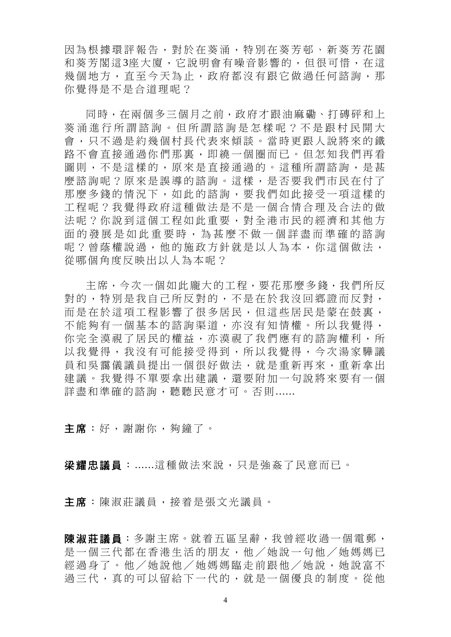因為根據環評報告,對於在葵涌,特別在葵芳邨、新葵芳花園 和葵芳閣這3座大廈,它說明會有噪音影響的,但很可惜,在這 幾個地方,直至今天為止,政府都沒有跟它做過任何諮詢,那 你覺得是不是合道理呢?

同時,在兩個多三個月之前,政府才跟油麻磡、打磚砰和上 葵涌進行所謂諮詢。但所謂諮 詢是怎樣呢?不是跟村民開大 會,只不過是約幾個村長代表來傾談。當時更跟人說將來的鐵 路不會直接通過你們那裏,即繞一個圈而已。但怎知我們再看 圖則,不是這樣的,原來是直接通過的。這種所謂諮詢,是甚 麼諮詢呢?原來是誤導的諮詢。這樣,是否要我們市民在付了 那麼多錢的情況下,如此的諮詢,要我們如此接受一項這樣的 工程呢?我覺得政府這種做法是不是一個合情合理及合法的做 法呢?你說到這個工程如此重要,對全港市民的經濟和其他方 面的發展是如此重要時,為甚麼不做一個詳盡而準確的諮詢 呢?曾蔭權說過,他的施政方針就是以人為本,你這個做法, 從哪個角度反映出以人為本呢?

主席,今次一個如此龐大的工程,要花那麼多錢,我們所反 對的,特別是我自己所反對的,不是在於我沒回鄉證而反對, 而是在於這項工程影響了很多居民,但這些居民是蒙在鼓裏, 不能夠有一個基本的諮詢渠道,亦沒有知情權。所以我覺得, 你完全漠視了居民的權益,亦漠視了我們應有的諮詢權利,所 以我覺得,我沒有可能接受得到,所以我覺得,今次湯家驊議 員和吳靄儀議員提出一個很好做法,就是重新再來,重新拿出 建議。我覺得不單要拿出建議,還要附加一句說將來要有一個 詳盡和準確的諮詢,聽聽民意才可。否則......

主席:好,謝謝你,夠鐘了。

梁耀忠議員:......這種做法來說,只是強姦了民意而已。

主席:陳淑莊議員,接着是張文光議員。

陳淑莊議員:多謝主席。就着五區呈辭,我曾經收過一個電郵, 是一個三代都在香港生活的朋友,他/她說一句他/她媽媽已 經過身了。他/她說他/她媽媽臨走前跟他/她說,她說富不 過三代,真的可以留給下一代的,就是一個優良的制度。從他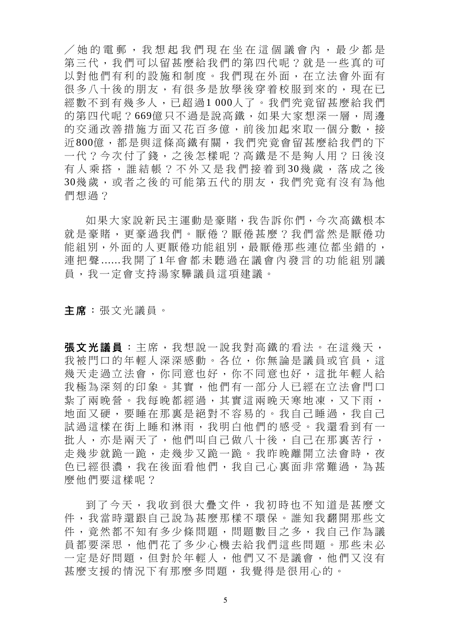/她的電郵,我想起我們現在坐在 這個議會內,最少都是 第三代,我們可以留甚麼給我們的第四代呢?就是一些真的可 以對他們有利的設施和制度。我們現在外面,在立法會外面有 很多八十後的朋友,有很多是放學後穿着校服到來的,現在已 經數不到有幾多人,已超過1 000人了。我們究竟留甚麼給我們 的第四代呢?669億只不過是說高鐵,如果大家想深一層,周邊 的交通改善措施方面又花百多億,前後加起來取一個分數,接 近800億,都是與這條高鐵有關,我們究竟會留甚麼給我們的下 一代?今次付了錢,之後怎樣呢?高鐵是不是夠人用?日後沒 有人乘搭,誰結帳?不外又是我們接着到30幾歲,落成之後 30幾歲,或者之後的可能第五代的朋友,我們究竟有沒有為他 們想過?

如果大家說新民主運動是豪賭,我告訴你們,今次高鐵根本 就是豪賭,更豪過我們。厭倦?厭倦甚麼?我們當然是厭倦功 能組別,外面的人更厭倦功能組別,最厭倦那些連位都坐錯的, 連把聲 ......我開了 1年會都未聽過在議會內發言的功能組別議 員,我一定會支持湯家驊議員這項建議。

主席:張文光議員。

**張文光議員**:主席,我想說一說我對高鐵的看法。在這幾天, 我被門口的年輕人深深感動。各位,你無論是議員或官員,這 幾天走過立法會,你同意也好,你不同意也好,這批年輕人給 我極為深刻的印象。其實,他們有一部分人已經在立法會門口 紥了兩晚營。我每晚都經過,其實這兩晚天寒地凍,又下雨, 地面又硬,要睡在那裏是絕對不容易的。我自己睡過,我自己 試過這樣在街上睡和淋雨,我明白他們的感受。我還看到有一 批人,亦是兩天了,他們叫自己做八十後,自己在那裏苦行, 走幾步就跪一跪,走幾步又跪一跪。我昨晚離開立法會時,夜 色已經很濃,我在後面看他們,我自己心裏面非常難過,為甚 麼他們要這樣呢?

到了今天,我收到很大疊文件,我初時也不知道是甚麼文 件,我當時還跟自己說為甚麼那樣不環保。誰知我翻開那些文 件,竟然都不知有多少條問題,問題數目之多,我自己作為議 員都要深思,他們花了多少心機去給我們這些問題。那些未必 一定是好問題,但對於年輕人,他們又不是議會,他們又沒有 甚麼支援的情況下有那麼多問題,我覺得是很用心的。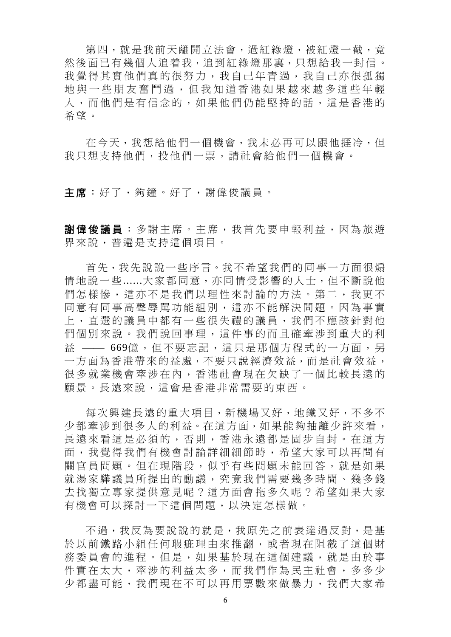第四,就是我前天離開立法會,過紅綠燈,被紅燈一截,竟 然後面已有幾個人追着我,追到紅綠燈那裏,只想給我一封信。 我覺得其實他們真的很努力,我自己年青過,我自己亦很孤獨 地與一些朋友奮鬥過,但我知 道香港如果越來越多這些年輕 人,而他們是有信念的,如果他們仍能堅持的話,這是香港的 希望。

在今天,我想給他們一個機會,我未必再可以跟他捱冷,但 我只想支持他們,投他們一票,請社會給他們一個機會。

主席:好了,夠鐘。好了,謝偉俊議員。

謝偉俊議員:多謝主席。主席,我首先要申報利益,因為旅遊 界來說,普遍是支持這個項目。

首先,我先說說一些序言。我不希望我們的同事一方面很煽 情地說一些......大家都同意,亦同情受影響的人士,但不斷說他 們怎樣慘,這亦不是我們以理性來討論的方法。第二,我更不 同意有同事高聲辱罵功能組別,這亦不能解決問題。因為事實 上,直選的議員中都有一些很失禮的議員,我們不應該針對他 們個別來說。我們說回事理,這件事的而且確牽涉到重大的利 益 — 669億,但不要忘記,這只是那個方程式的一方面,另 一方面為香港帶來的益處,不要只說經濟效益,而是社會效益, 很多就業機會牽涉在內,香港社會現在欠缺了一個比較長遠的 願景。長遠來說,這會是香港非常需要的東西。

每次興建長遠的重大項目,新機場又好,地鐵又好,不多不 少都牽涉到很多人的利益。在這方面,如果能夠抽離少許來看, 長遠來看這是必須的,否則,香港永遠都是固步自封。在這方 面,我覺得我們有機會討論詳細細節時,希望大家可以再問有 關官員問題。但在現階段,似乎有些問題未能回答,就是如果 就湯家驊議員所提出的動議,究竟我們需要幾多時間、幾多錢 去找獨立專家提供意見呢?這方面會拖多久呢?希望如果大家 有機會可以探討一下這個問題,以決定怎樣做。

不過,我反為要說說的就是,我原先之前表達過反對,是基 於以前鐵路小組任何瑕疵理由來推翻,或者現在阻截了這個財 務委員會的進程。但是,如果基於現在這個建議,就是由於事 件實在太大,牽涉的利益太多,而我們作為民主社會,多多少 少都盡可能,我們現在不可以再用票數來做暴力,我們大家希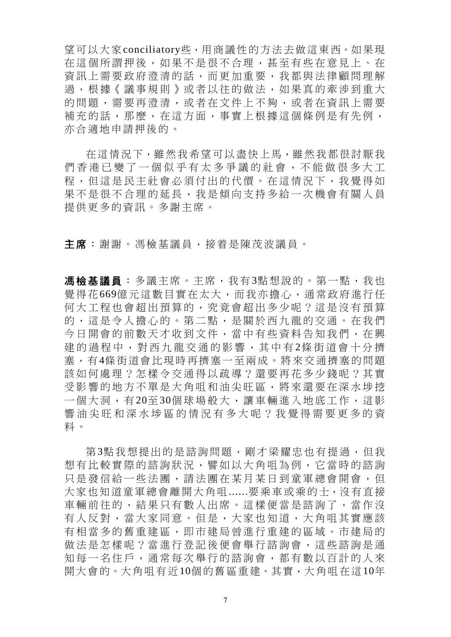望可以大家conciliatory些,用商議性的方法去做這東西。如果現 在這個所謂押後,如果不是很不合理,甚至有些在意見上、在 資訊上需要政府澄清的話,而更加重要,我都與法律顧問理解 過,根據《議事規則》或者以往的做法,如果真的牽涉到重大 的問題,需要再澄清,或者在文件上不夠,或者在資訊上需要 補充的話,那麼,在這方面,事實上根據這個條例是有先例, 亦合適地申請押後的。

在這情況下,雖然我希望可以盡快上馬,雖然我都很討厭我 們香港已變了一個似乎有太多爭議的社會,不能做很多大工 程,但這是民主社會必須付出的代價。在這情況下,我覺得如 果不是很不合理的延長,我是傾向支持多給一次機會有關人員 提供更多的資訊。多謝主席。

主席:謝謝。馮檢基議員,接着是陳茂波議員。

**馮檢基議員**: 多議主席。主席, 我有3點想說的。第一點, 我也 覺得花669億元這數目實在太大,而我亦擔心,通常政府進行任 何大工程也會超出預算的,究竟會超出多少呢?這是沒有預算 的,這是令人擔心的。第二點,是關於西九龍的交通。在我們 今日開會的前數天才收到文件,當中有些資料告知我們,在興 建的過程中,對西九龍交通的影響,其中有2條街道會十分擠 塞,有4條街道會比現時再擠塞一至兩成。將來交通擠塞的問題 該如何處理?怎樣令交通得以疏導?還要再花多少錢呢?其實 受影響的地方不單是大角咀和油尖旺區,將來還要在深水埗挖 一個大洞,有 20至 30個球場般大,讓車輛進入地底工作,這影 響油尖旺和深水埗區的情況有 多大呢?我覺得需要更多的資 料。

第3點我想提出的是諮詢問題,剛才梁耀忠也有提過,但我 想有比較實際的諮詢狀況,譬如以大角咀為例,它當時的諮詢 只是發信給一些法團,請法團在某月某日到童軍總會開會,但 大家也知道童軍總會離開大角咀......要乘車或乘的士,沒有直接 車輛前往的,結果只有數人出席。這樣便當是諮詢了,當作沒 有人反對,當大家同意。但是,大家也知道,大角咀其實應該 有相當多的舊重建區,即市建局曾進行重建的區域。市建局的 做法是怎樣呢?當淮行登記後便會舉行諮詢會,這些諮詢是通 知每一名住戶,通常每次舉行的諮詢會,都有數以百計的人來 開大會的。大角咀有近10個的舊區重建。其實,大角咀在這10年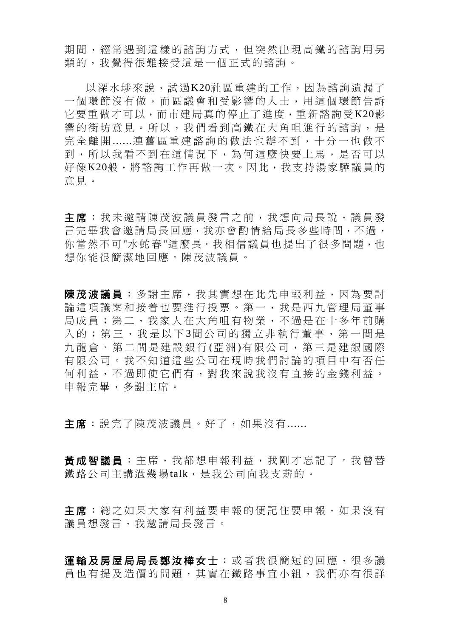期間,經常遇到這樣的諮詢方式,但突然出現高鐵的諮詢用另 類的,我覺得很難接受這是一個正式的諮詢。

以深水埗來說,試過K20社區重建的工作,因為諮詢遺漏了 一個環節沒有做,而區議會和受影響的人士,用這個環節告訴 它要重做才可以,而市建局真的停止了進度,重新諮詢受K20影 響的街坊意見。所以,我們看到高鐵在大角咀進行的諮詢,是 完全離開 ......連舊區重建諮詢的做法也辦不到,十分一也做不 到,所以我看不到在這情況下,為何這麼快要上馬,是否可以 好像K20般,將諮詢工作再做一次。因此,我支持湯家驊議員的 意見。

主席:我未邀請陳茂波議員發言之前,我想向局長說,議員發 言完畢我會邀請局長回應,我亦會酌情給局長多些時間,不過, 你當然不可"水蛇春"這麼長。我相信議員也提出了很多問題,也 想你能很簡潔地回應。陳茂波議員。

使茂波議員:多謝主席,我其實想在此先申報利益,因為要討 論這項議案和接着也要進行投票。第一,我是西九管理局董事 局成員;第二,我家人在大角咀有物業,不過是在十多年前購 入的;第三,我是以下3間公司的獨立非執行董事,第一間是 九龍倉、第二間是建設銀行(亞洲)有限公司,第三是建銀國際 有限公司。我不知道這些公司在現時我們討論的項目中有否任 何利益,不過即使它們有,對我來說我沒有直接的金錢利益。 申報完畢,多謝主席。

主席: 說完了陳茂波議員。好了, 如果沒有......

黃成智議員:主席,我都想申報利益,我剛才忘記了。我曾替 鐵路公司主講過幾場talk,是我公司向我支薪的。

主席: 總之如果大家有利益要申報的便記住要申報, 如果沒有 議員想發言,我邀請局長發言。

運輸及房屋局局長鄭汝樺女士:或者我很簡短的回應,很多議 員也有提及造價的問題,其實在鐵路事宜小組,我們亦有很詳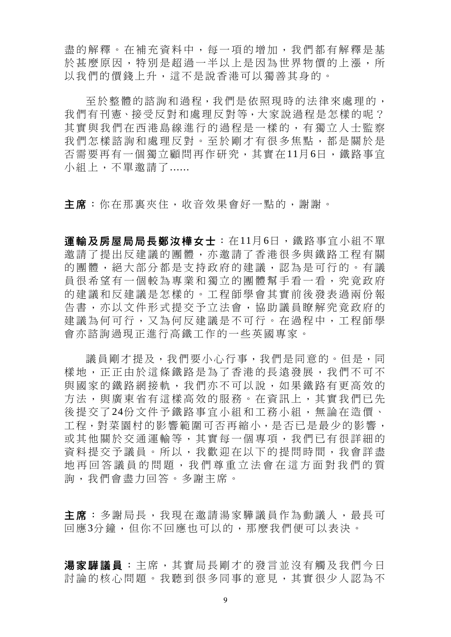盡的解釋。在補充資料中,每一項的增加,我們都有解釋是基 於甚麼原因,特別是超過一半以上是因為世界物價的上漲,所 以我們的價錢上升,這不是說香港可以獨善其身的。

至於整體的諮詢和過程,我們是依照現時的法律來處理的, 我們有刊憲、接受反對和處理反對等,大家說過程是怎樣的呢? 其實與我們在西港島線進行的過程是一樣的,有獨立人士監察 我們怎樣諮詢和處理反對。至於剛才有很多焦點,都是關於是 否需要再有一個獨立顧問再作研究,其實在11月6日,鐵路事宜 小組上,不單邀請了......

主席:你在那裏夾住,收音效果會好一點的,謝謝。

軍輪及房屋局局長鄭汝樺女士: 在11月6日, 鐵路事宜小組不單 邀請了提出反建議的團體,亦邀請了香港很多與鐵路工程有關 的團體,絕大部分都是支持政府的建議,認為是可行的。有議 員很希望有一個較為專業和獨立的團體幫手看一看,究竟政府 的建議和反建議是怎樣的。工程師學會其實前後發表過兩份報 告書,亦以文件形式提交予立法會,協助議員瞭解究竟政府的 建議為何可行,又為何反建議是不可行。在過程中,工程師學 會亦諮詢過現正進行高鐵工作的一些英國專家。

議員剛才提及,我們要小心行事,我們是同意的。但是,同 樣地,正正由於這條鐵路是為了香港的長遠發展,我們不可不 與國家的鐵路網接軌,我們亦不可以說,如果鐵路有更高效的 方法,與廣東省有這樣高效的服務。在資訊上,其實我們已先 後提交了24份文件予鐵路事宜小組和工務小組,無論在造價、 工程,對菜園村的影響範圍可否再縮小,是否已是最少的影響, 或其他關於交通運輸等,其實每一個專項,我們已有很詳細的 資料提交予議員。所以,我歡迎在以下的提問時間,我會詳盡 地再回答議員的問題,我們尊 重立法會在這方面對我們的質 詢,我們會盡力回答。多謝主席。

主席:多謝局長,我現在邀請湯家驊議員作為動議人,最長可 回應3分鐘,但你不回應也可以的,那麼我們便可以表決。

湯家驊議員:主席,其實局長剛才的發言並沒有觸及我們今日 討論的核心問題。我聽到很多同事的意見,其實很少人認為不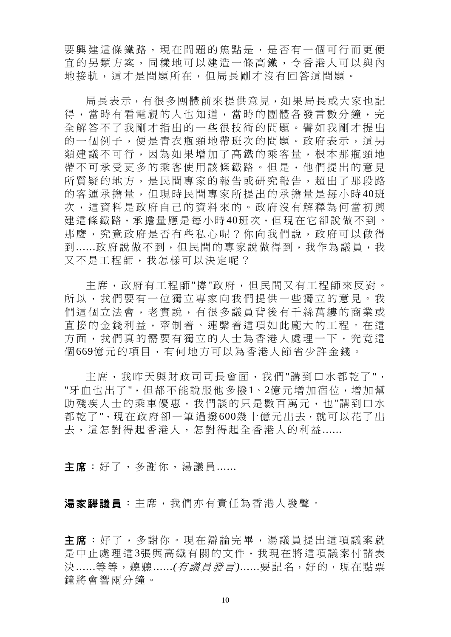要興建這條鐵路,現在問題的焦點是,是否有一個可行而更便 宜的另類方案,同樣地可以建造一條高鐵,令香港人可以與內 地接軌,這才是問題所在,但局長剛才沒有回答這問題。

局長表示,有很多團體前來提供意見,如果局長或大家也記 得,當時有看電視的人也知道,當時的團體各發言數分鐘,完 全解答不了我剛才指出的一些很技術的問題。譬如我剛才提出 的一個例子,便是青衣瓶頸地帶班次的問題。政府表示,這另 類建議不可行,因為如果增加了高鐵的乘客量,根本那瓶頸地 帶不可承受更多的乘客使用該條鐵路。但是,他們提出的意見 所質疑的地方,是民間專家的報告或研究報告,超出了那段路 的客運承擔量,但現時民間專家所提出的承擔量是每小時 40班 次,這資料是政府自己的資料來的。政府沒有解釋為何當初興 建這條鐵路,承擔量應是每小時40班次,但現在它卻說做不到。 那麼,究竟政府是否有些私心呢?你向我們說,政府可以做得 到......政府說做不到,但民間的專家說做得到,我作為議員,我 又不是工程師,我怎樣可以決定呢?

主席,政府有工程師"撐"政府,但民間又有工程師來反對。 所以,我們要有一位獨立專家向我們提供一些獨立的意見。我 們這個立法會,老實說,有很多議員背後有千絲萬縷的商業或 直接的金錢利益,牽制着、連繫着這項如此龐大的工程。在這 方面,我們真的需要有獨立的人士為香港人處理一下,究竟這 個669億元的項目,有何地方可以為香港人節省少許金錢。

主席,我昨天與財政司司長會面,我們"講到口水都乾了", "牙血也出了",但都不能說服他多撥1、2億元增加宿位,增加幫 助殘疾人士的乘車優惠,我們談的只是數百萬元,也"講到口水 都乾了",現在政府卻一筆過撥600幾十億元出去,就可以花了出 去,這怎對得起香港人,怎對得起全香港人的利益......

主席:好了,多謝你,湯議員 ......

湯家驊議員:主席,我們亦有責任為香港人發聲。

主席:好了,多謝你。現在辯論完畢,湯議員提出這項議案就 是中止處理這3張與高鐵有關的文件,我現在將這項議案付諸表 決......等等,聽聽......*(*有議員發言*)*......要記名,好的,現在點票 鐘將會響兩分鐘。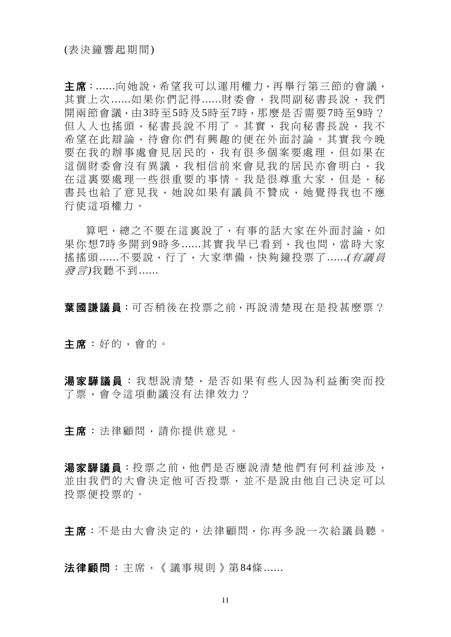主席:......向她說,希望我可以運用權力,再舉行第三節的會議, 其實上次......如果你們記得......財委會,我問副秘書長說,我們 開兩節會議,由3時至5時及5時至7時,那麼是否需要7時至9時? 但人人也搖頭,秘書長說不用了。其實,我向秘書長說,我不 希望在此辯論,待會你們有興趣的便在外面討論。其實我今晚 要在我的辦事處會見居民的,我有很多個案要處理,但如果在 這個財委會沒有異議,我相信前來會見我的居民亦會明白,我 在這裏要處理一些很重要的事情。我是很尊重大家,但是,秘 書長也給了意見我,她說如果有議員不贊成,她覺得我也不應 行使這項權力。

算吧,總之不要在這裏說了,有事的話大家在外面討論,如 果你想7時多開到9時多......其實我早已看到,我也問,當時大家 搖搖頭......不要說,行了,大家準備,快夠鐘投票了......*(*有議員 發言*)*我聽不到......

**葉國謙議員**:可否稍後在投票之前,再說清楚現在是投甚麼票?

主席:好的,會的。

湯家驊議員:我想說清楚,是否如果有些人因為利益衝突而投 了票,會令這項動議沒有法律效力?

主席:法律顧問,請你提供意見。

湯家驊議員:投票之前,他們是否應說清楚他們有何利益涉及, 並由我們的大會決定他可否投票,並不是說由他自己決定可以 投票便投票的。

主席:不是由大會決定的,法律顧問,你再多說一次給議員聽。

法律顧問:主席,《議事規則》第84條......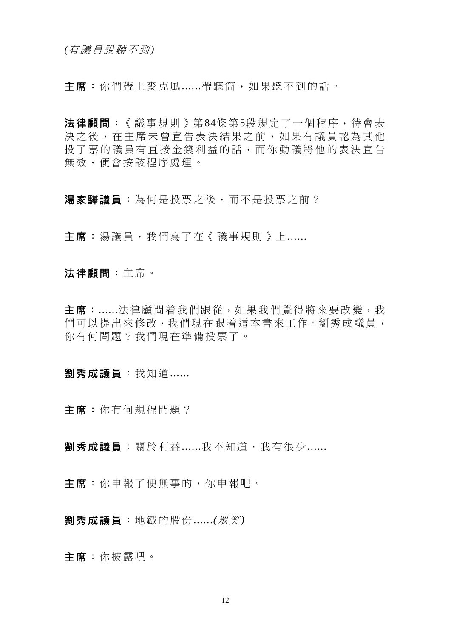*(*有議員說聽不到*)* 

主席:你們帶上麥克風......帶聽筒,如果聽不到的話。

法律顧問:《議事規則》第84條第5段規定了一個程序,待會表 決之後,在主席未曾宣告表決結果之前,如果有議員認為其他 投了票的議員有直接金錢利益的話,而你動議將他的表決宣告 無效,便會按該程序處理。

湯家驊議員:為何是投票之後,而不是投票之前?

主席:湯議員,我們寫了在《議事規則》上......

法律顧問:主席。

主席:......法律顧問着我們跟從,如果我們覺得將來要改變,我 們可以提出來修改,我們現在跟着這本書來工作。劉秀成議員, 你有何問題?我們現在準備投票了。

劉秀成議員:我知道......

主席:你有何規程問題?

劉秀成議員:關於利益 ......我不知道,我有很少 ......

主席:你申報了便無事的,你申報吧。

劉秀成議員:地鐵的股份......*(*眾笑*)*

主席:你披露吧。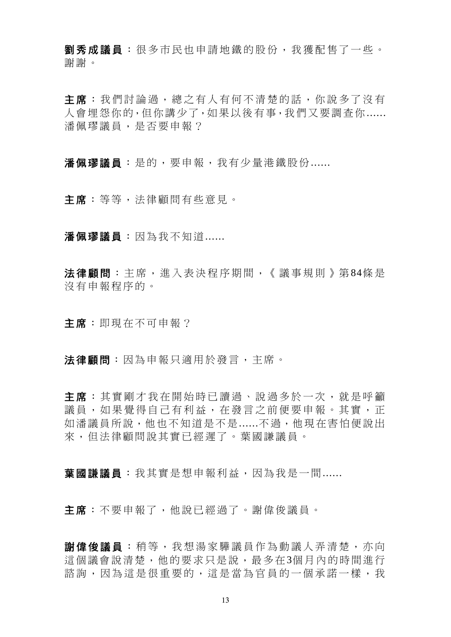劉秀成議員:很多市民也申請地鐵的股份,我獲配售了一些。 謝謝。

主席:我們討論過,總之有人有何不清楚的話,你說多了沒有 人會埋怨你的,但你講少了,如果以後有事,我們又要調查你...... 潘佩璆議員,是否要申報?

潘佩璆議員:是的,要申報,我有少量港鐵股份......

主席:等等,法律顧問有些意見。

潘佩璆議員:因為我不知道......

法律顧問:主席,進入表決程序期間,《議事規則》第84條是 沒有申報程序的。

主席:即現在不可申報?

法律顧問:因為申報只適用於發言,主席。

主席:其實剛才我在開始時已讀過、說過多於一次,就是呼籲 議員,如果覺得自己有利益,在發言之前便要申報。其實,正 如潘議員所說,他也不知道是不是......不過,他現在害怕便說出 來,但法律顧問說其實已經遲了。葉國謙議員。

葉國謙議員:我其實是想申報利益,因為我是一間......

主席:不要申報了,他說已經過了。謝偉俊議員。

謝偉俊議員 :稍等,我想湯家驊議員作為動議人弄清楚,亦向 這個議會說清楚,他的要求只是說,最多在3個月內的時間進行 諮詢,因為這是很重要的,這是當為官員的一個承諾一樣,我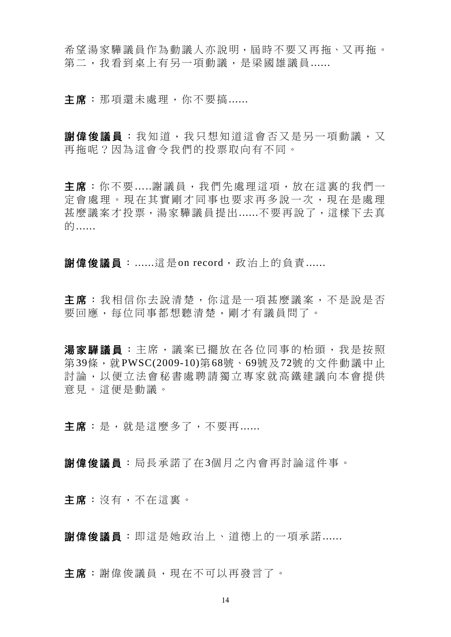希望湯家驊議員作為動議人亦說明,屆時不要又再拖、又再拖。 第二,我看到桌上有另一項動議,是梁國雄議員......

主席:那項還未處理,你不要搞......

**謝偉俊議員**: 我知道,我只想知道這會否又是另一項動議, 又 再拖呢?因為這會令我們的投票取向有不同。

主席:你不要…..謝議員,我們先處理這項,放在這裏的我們一 定會處理。現在其實剛才同事也要求再多說一次,現在是處理 甚麼議案才投票,湯家驊議員提出......不要再說了,這樣下去真 的......

謝偉俊議員:......這是on record, 政治上的負責......

主席:我相信你去說清楚,你這是一項甚麼議案,不是說是否 要回應,每位同事都想聽清楚,剛才有議員問了。

湯家驊議員:主席,議案已擺放在各位同事的枱頭,我是按照 第39條, 就PWSC(2009-10)第68號、69號及72號的文件動議中止 討論,以便立法會秘書處聘請獨立專家就高鐵建議向本會提供 意見。這便是動議。

主席:是,就是這麼多了,不要再......

謝偉俊議員:局長承諾了在3個月之內會再討論這件事。

主席:沒有,不在這裏。

謝偉俊議員:即這是她政治上、道德上的一項承諾......

主席:謝偉俊議員,現在不可以再發言了。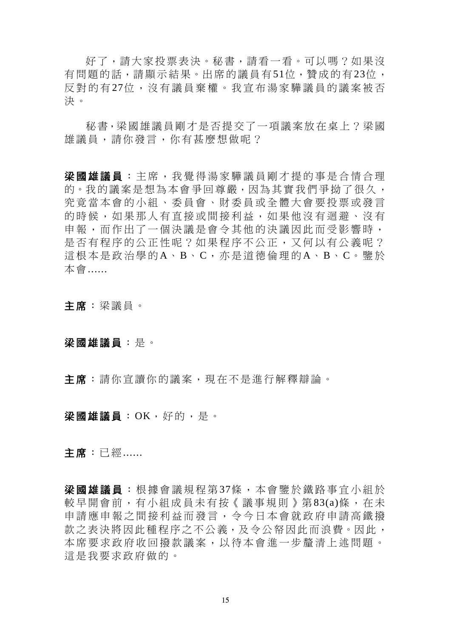好了,請大家投票表決。秘書,請看一看。可以嗎?如果沒 有問題的話,請顯示結果。出席的議員有51位,贊成的有23位, 反對的有 27位,沒有議員棄權。我宣布湯家驊議員的議案被否 決。

秘書,梁國雄議員剛才是否提交了一項議案放在桌上?梁國 雄議員,請你發言,你有甚麼想做呢?

梁國雄議員:主席,我覺得湯家驊議員剛才提的事是合情合理 的。我的議案是想為本會爭回尊嚴,因為其實我們爭拗了很久, 究竟當本會的小組、委員會、財委員或全體大會要投票或發言 的時候,如果那人有直接或間接利益,如果他沒有迴避、沒有 申報,而作出了一個決議是會令其他的決議因此而受影響時, 是否有程序的公正性呢?如果程序不公正,又何以有公義呢? 這根本是政治學的A、B、C,亦是道德倫理的A、B、C。鑒於 本會......

主席:梁議員。

### 梁國雄議員:是。

主席:請你宣讀你的議案,現在不是進行解釋辯論。

#### 梁國雄議員:OK,好的,是。

主席:已經......

梁國雄議員:根據會議規程第37條,本會鑒於鐵路事宜小組於 較早開會前,有小組成員未有按《議事規則》第83(a)條,在未 申請應申報之間接利益而發言,令今日本會就政府申請高鐵撥 款之表決將因此種程序之不公義,及令公帑因此而浪費。因此, 本席要求政府收回撥款議案,以待本會進一步釐清上述問題。 這是我要求政府做的。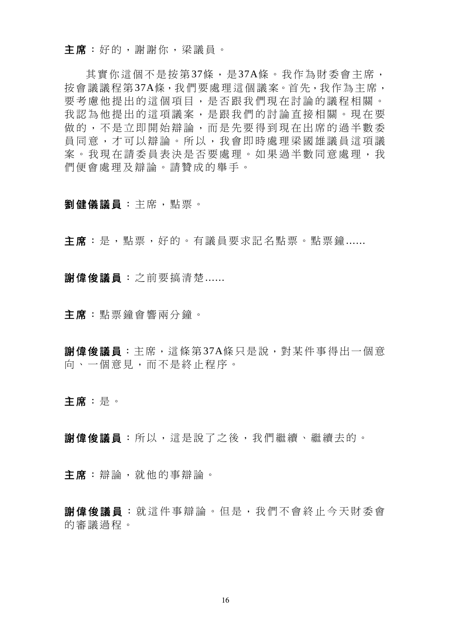主席:好的,謝謝你,梁議員。

其實你這個不是按第37條,是37A條。我作為財委會主席, 按會議議程第37A條,我們要處理這個議案。首先,我作為主席, 要考慮他提出的這個項目,是否跟我們現在討論的議程相關。 我認為他提出的這項議案,是跟我們的討論直接相關。現在要 做的,不是立即開始辯論,而是先要得到現在出席的過半數委 員同意,才可以辯論。所以,我會即時處理梁國雄議員這項議 案。我現在請委員表決是否要處理。如果過半數同意處理,我 們便會處理及辯論。請贊成的舉手。

- 劉健儀議員:主席,點票。
- 主席:是,點票,好的。有議員要求記名點票。點票鐘......
- 謝偉俊議員:之前要搞清楚......
- 主席:點票鐘會響兩分鐘。
- **謝偉俊議員**: 主席, 這條第37A條只是說, 對某件事得出一個意 向、一個意見,而不是終止程序。
- 主席:是。
- 謝偉俊議員:所以,這是說了之後,我們繼續、繼續去的。
- 主席:辯論,就他的事辯論。
- 謝偉俊議員 :就這件事辯論。但是,我們不會終止今天財委會 的審議過程。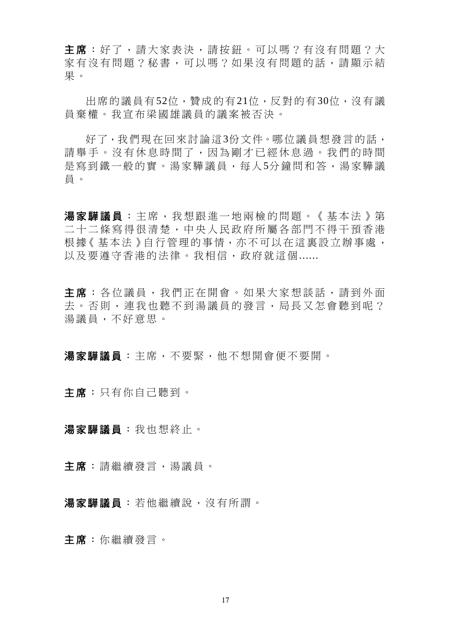主席:好了,請大家表決,請按鈕。可以嗎?有沒有問題?大 家有沒有問題?秘書,可以嗎?如果沒有問題的話,請顯示結 果。

出席的議員有52位,贊成的有21位,反對的有30位,沒有議 員棄權。我宣布梁國雄議員的議案被否決。

好了,我們現在回來討論這3份文件。哪位議員想發言的話, 請舉手。沒有休息時間了,因為剛才已經休息過。我們的時間 是寫到鐵一般的實。湯家驊議員,每人5分鐘問和答,湯家驊議 員。

湯家驊議員:主席,我想跟進一地兩檢的問題。《基本法》第 二十二條寫得很清楚,中央人民政府所屬各部門不得干預香港 根據《基本法》自行管理的事情,亦不可以在這裏設立辦事處, 以及要澊守香港的法律。我相信,政府就這個......

主席:各位議員,我們正在開會。如果大家想談話,請到外面 去。否則,連我也聽不到湯議員的發言,局長又怎會聽到呢? 湯議員,不好意思。

湯家驊議員:主席,不要緊,他不想開會便不要開。

主席:只有你自己聽到。

湯家驊議員:我也想終止。

主席:請繼續發言,湯議員。

湯家驊議員:若他繼續說,沒有所謂。

主席:你繼續發言。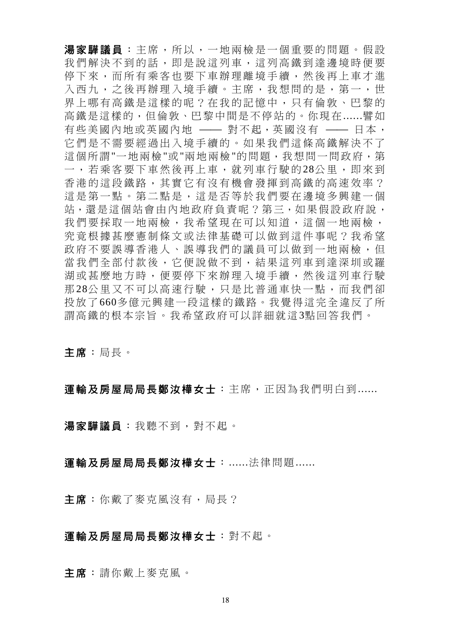湯家驊議員: 主席, 所以, 一地兩檢是一個重要的問題。假設 我們解決不到的話,即是說這列車,這列高鐵到達邊境時便要 停下來,而所有乘客也要下車辦理離境手續,然後再上車才進 入西九,之後再辦理入境手續。主席,我想問的是,第一,世 界上哪有高鐵是這樣的呢?在我的記憶中,只有倫敦、巴黎的 高鐵是這樣的,但倫敦、巴黎中間是不停站的。你現在......譬如 有些美國內地或英國內地 —— 對不起,英國沒有 —— 日本, 它們是不需要經過出入境手續的。如果我們這條高鐵解決不了 這個所謂"一地兩檢"或"兩地兩檢"的問題,我想問一問政府,第 一,若乘客要下車然後再上車,就列車行駛的 28公里,即來到 香港的這段鐵路,其實它有沒有機會發揮到高鐵的高速效率? 這是第一點。第二點是,這是否等於我們要在邊境多興建一個 站,還是這個站會由內地政府負責呢?第三,如果假設政府說, 我們要採取一地兩檢,我希望現在可以知道,這個一地兩檢, 究竟根據甚麼憲制條文或法律基礎可以做到這件事呢?我希望 政府不要誤導香港人、誤導我們的議員可以做到一地兩檢,但 當我們全部付款後,它便說做不到,結果這列車到達深圳或羅 湖或甚麼地方時,便要停下來辦理入境手續,然後這列車行駛 那 28公里又不可以高速行駛,只是比普通車快一點,而我們卻 投放了660多億元興建一段這樣的鐵路。我覺得這完全違反了所 謂高鐵的根本宗旨。我希望政府可以詳細就這3點回答我們。

## 主席:局長。

### 軍輸及房屋局局長鄭汝樺女士:主席,正因為我們明白到......

湯家驊議員:我聽不到,對不起。

### 運輸及房屋局局長鄭汝樺女士:......法律問題......

主**席**: 你戴了麥克風沒有, 局長?

### 運輸及房屋局局長鄭汝樺女士:對不起。

主席:請你戴上麥克風。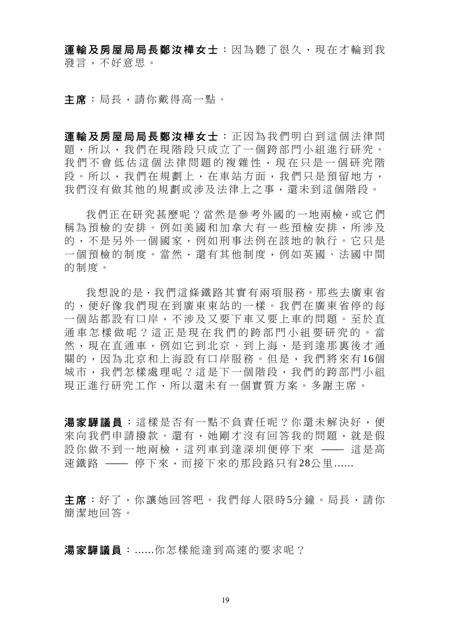軍輪及房屋局局長鄭汝樺女士:因為聽了很久,現在才輪到我 發言,不好意思。

主席:局長,請你戴得高一點。

渾輪及房屋局局長鄭汝樺女士:正因為我們明白到這個法律問 題,所以,我們在現階段只成立了一個跨部門小組進行研究。 我們不會低估這個法律問題的複雜性,現在只是一個研究階 段。所以,我們在規劃上,在車站方面,我們只是預留地方, 我們沒有做其他的規劃或涉及法律上之事,還未到這個階段。

我們正在研究甚麼呢?當然是參考外國的一地兩檢,或它們 稱為預檢的安排。例如美國和加拿大有一些預檢安排,所涉及 的,不是另外一個國家,例如刑事法例在該地的執行。它只是 一個預檢的制度。當然,還有其他制度,例如英國、法國中間 的制度。

我想說的是,我們這條鐵路其實有兩項服務。那些去廣東省 的,便好像我們現在到廣東東站的一樣。我們在廣東省停的每 一個站都設有口岸,不涉及又要下車又要上車的問題。至於直 通車怎樣做呢?這正是現在我們的跨部門小組要研究的。當 然,現在直通車,例如它到北京、到上海,是到達那裏後才通 關的,因為北京和上海設有口岸服務。但是,我們將來有 16個 城市,我們怎樣處理呢?這是下一個階段,我們的跨部門小組 現正進行研究工作,所以還未有一個實質方案。多謝主席。

湯家驊議員:這樣是否有一點不負責任呢?你還未解決好,便 來向我們申請撥款。還有,她剛才沒有回答我的問題,就是假 設你做不到一地兩檢,這列車到達深圳便停下來 —— 這是高 速鐵路 —— 停下來,而接下來的那段路只有28公里......

主席:好了,你讓她回答吧。我們每人限時5分鐘。局長,請你 簡潔地回答。

湯家驊議員:......你怎樣能達到高速的要求呢?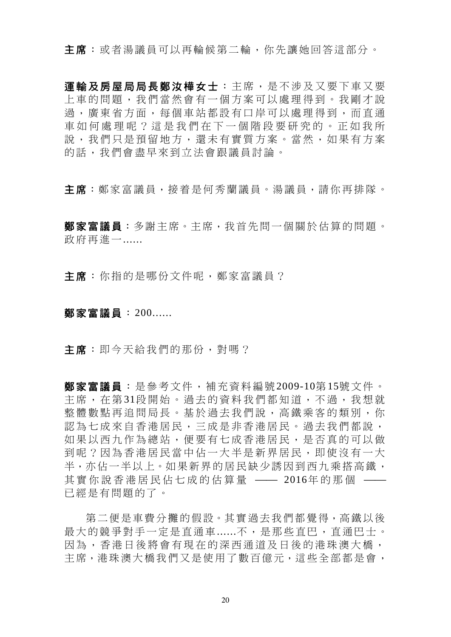主席:或者湯議員可以再輪候第二輪,你先讓她回答這部分。

軍輪及房屋局局長鄭汝樺女士:主席,是不涉及又要下車又要 上車的問題,我們當然會有一個方案可以處理得到。我剛才說 過,廣東省方面,每個車站都設有口岸可以處理得到,而直通 車如何處理呢?這是我們在下 一個階段要研究的。正如我所 說,我們只是預留地方,還未有實質方案。當然,如果有方案 的話,我們會盡早來到立法會跟議員討論。

主席:鄭家富議員,接着是何秀蘭議員。湯議員,請你再排隊。

**鄭家富議員**:多謝主席。主席,我首先問一個關於估算的問題。 政府再進一......

主席:你指的是哪份文件呢,鄭家富議員?

#### 鄭家富議員:200......

主席:即今天給我們的那份,對嗎?

鄭家富議員:是參考文件,補充資料編號2009-10第15號文件。 主席,在第31段開始。過去的資料我們都知道,不過,我想就 整體數點再追問局長。基於過去我們說,高鐵乘客的類別,你 認為七成來自香港居民,三成是非香港居民。過去我們都說, 如果以西九作為總站,便要有七成香港居民,是否真的可以做 到呢?因為香港居民當中佔一大半是新界居民,即使沒有一大 半,亦佔一半以上。如果新界的居民缺少誘因到西九乘搭高鐵, 其實你說香港居民佔七成的估算量 —— 2016年的那個 —— 已經是有問題的了。

第二便是車費分攤的假設。其實過去我們都覺得,高鐵以後 最大的競爭對手一定是直通車......不,是那些直巴,直通巴士。 因為,香港日後將會有現在的深西通道及日後的港珠澳大橋, 主席,港珠澳大橋我們又是使用了數百億元,這些全部都是會,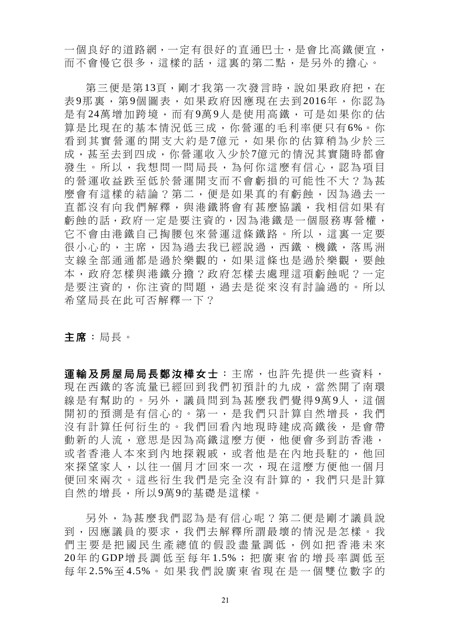一個良好的道路網,一定有很好的直通巴士,是會比高鐵便宜, 而不會慢它很多,這樣的話,這裏的第二點,是另外的擔心。

第三便是第13頁,剛才我第一次發言時,說如果政府把,在 表 9那裏,第 9個圖表,如果政府因應現在去到 2016年,你認為 是有 24萬增加跨境,而有 9萬 9人是使用高鐵,可是如果你的估 算是比現在的基本情況低三成,你營運的毛利率便只有6%。你 看到其實營運的開支大約是7億元,如果你的估算稍為少於三 成,甚至去到四成,你營運收入少於7億元的情況其實隨時都會 發生。所以,我想問一問局長,為何你這麼有信心,認為項目 的營運收益跌至低於營運開支而不會虧損的可能性不大?為甚 麼會有這樣的結論?第二,便是如果真的有虧蝕,因為過去一 直都沒有向我們解釋,與港鐵將會有甚麼協議,我相信如果有 虧蝕的話,政府一定是要注資的,因為港鐵是一個服務專營權, 它不會由港鐵自己掏腰包來營運這條鐵路。所以,這裏一定要 很小心的,主席,因為過去我已經說過,西鐵、機鐵,落馬洲 支線全部通通都是過於樂觀的,如果這條也是過於樂觀,要蝕 本,政府怎樣與港鐵分擔?政府怎樣去處理這項虧蝕呢?一定 是要注資的,你注資的問題,過去是從來沒有討論過的。所以 希望局長在此可否解釋一下?

主席:局長。

運輸及房屋局局長鄭汝樺女士:主席,也許先提供一些資料, 現在西鐵的客流量已經回到我們初預計的九成,當然開了南環 線是有幫助的。另外,議員問到為甚麼我們覺得9萬9人,這個 開初的預測是有信心的。第一,是我們只計算自然增長,我們 沒有計算任何衍生的。我們回看內地現時建成高鐵後,是會帶 動新的人流,意思是因為高鐵這麼方便,他便會多到訪香港, 或者香港人本來到內地探親戚,或者他是在內地長駐的,他回 來探望家人,以往一個月才回來一次,現在這麼方便他一個月 便回來兩次。這些衍生我們是完全沒有計算的,我們只是計算 自然的增長,所以9萬9的基礎是這樣。

另外,為甚麼我們認為是有信心呢?第二便是剛才議員說 到,因應議員的要求,我們去解釋所謂最壞的情況是怎樣。我 們主要是把國民生產總值的假設盡量調低,例如把香港未來 20年 的 GDP增長調低至每年 1.5%;把廣東省的增長率調低至 每 年 2.5%至 4.5%。如果我們說廣東省現在是一個雙位數字的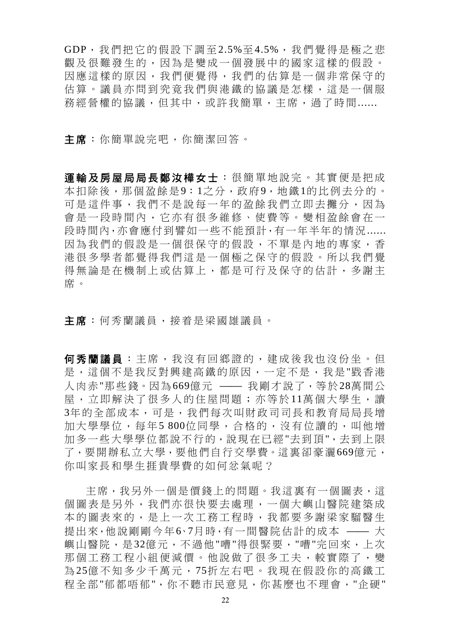GDP,我們把它的假設下調至 2.5%至 4.5%,我們覺得是極之悲 觀及很難發生的,因為是變成一個發展中的國家這樣的假設。 因應這樣的原因,我們便覺得,我們的估算是一個非常保守的 估算。議員亦問到究竟我們與港鐵的協議是怎樣,這是一個服 務經營權的協議,但其中,或許我簡單,主席,過了時間......

主席:你簡單說完吧,你簡潔回答。

運輸及房屋局局長鄭汝樺女士 :很簡單地說完。其實便是把成 本扣除後,那個盈餘是9:1之分,政府9,地鐵1的比例去分的。 可是這件事,我們不是說每一年的盈餘我們立即去攤分,因為 會是一段時間內,它亦有很多維修、使費等。變相盈餘會在一 段時間內,亦會應付到譬如一些不能預計,有一年半年的情況...... 因為我們的假設是一個很保守的假設,不單是內地的專家,香 港很多學者都覺得我們這是一個極之保守的假設。所以我們覺 得無論是在機制上或估算上,都是可行及保守的估計,多謝主 席。

主席:何秀蘭議員,接着是梁國雄議員。

何秀蘭議員:主席,我沒有回鄉證的,建成後我也沒份坐。但 是,這個不是我反對興建高鐵的原因,一定不是,我是"戥香港 人肉赤"那些錢。因為669億元 –– 我剛才說了,等於28萬間公 屋,立即解決了很多人的住屋問題;亦等於11萬個大學生,讀 3年的全部成本,可是,我們每次叫財政司司長和教育局局長增 加大學學位,每年5 800位同學,合格的,沒有位讀的,叫他增 加多一些大學學位都說不行的,說現在已經"去到頂",去到上限 了,要開辦私立大學,要他們自行交學費。這裏卻豪灑669億元, 你叫家長和學生捱貴學費的如何忿氣呢?

主席,我另外一個是價錢上的問題。我這裏有一個圖表,這 個圖表是另外,我們亦很快要去處理,一個大嶼山醫院建築成 本的圖表來的,是上一次工務工程時,我都要多謝梁家騮醫生 提出來,他說剛剛今年6、7月時,有一間醫院估計的成本 –– 大 嶼山醫院,是32億元,不過他"嘈"得很緊要,"嘈"完回來,上次 那個工務工程小組便減價。他說做了很多工夫,較實際了,變 為 25億不知多少千萬元, 75折左右吧。我現在假設你的高鐵工 程全部"郁都唔郁",你不聽市民意見,你甚麼也不理會,"企硬"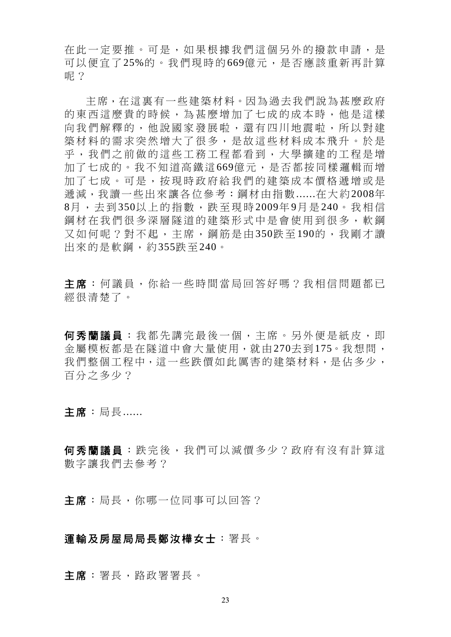在此一定要推。可是,如果根據我們這個另外的撥款申請,是 可以便宜了25%的。我們現時的669億元,是否應該重新再計算 呢?

主席,在這裏有一些建築材料。因為過去我們說為甚麼政府 的東西這麼貴的時候,為甚麼增加了七成的成本時,他是這樣 向我們解釋的,他說國家發展啦,還有四川地震啦,所以對建 築材料的需求突然增大了很多,是故這些材料成本飛升。於是 乎,我們之前做的這些工務工程都看到,大學擴建的工程是增 加了七成的。我不知道高鐵這669億元,是否都按同樣邏輯而增 加了七成。可是,按現時政府給我們的建築成本價格遞增或是 遞減,我讀一些出來讓各位參考:鋼材由指數......在大約2008年 8月,去到 350以上的指數,跌至現時 2009年 9月 是 240。我相信 鋼材在我們很多深層隧道的建築形式中是會使用到很多,軟鋼 又如何呢?對不起,主席,鋼筋是由350跌至190的,我剛才讀 出來的是軟鋼,約355跌至240。

主席:何議員,你給一些時間當局回答好嗎?我相信問題都已 經很清楚了。

何秀蘭議員:我都先講完最後一個,主席。另外便是紙皮,即 金屬模板都是在隧道中會大量使用,就由270去到175。我想問, 我們整個工程中,這一些跌價如此厲害的建築材料,是佔多少, 百分之多少?

主席:局長......

何秀蘭議員:跌完後,我們可以減價多少?政府有沒有計算這 數字讓我們去參考?

主席:局長,你哪一位同事可以回答?

### 運輸及房屋局局長鄭汝樺女士:署長。

主席:署長,路政署署長。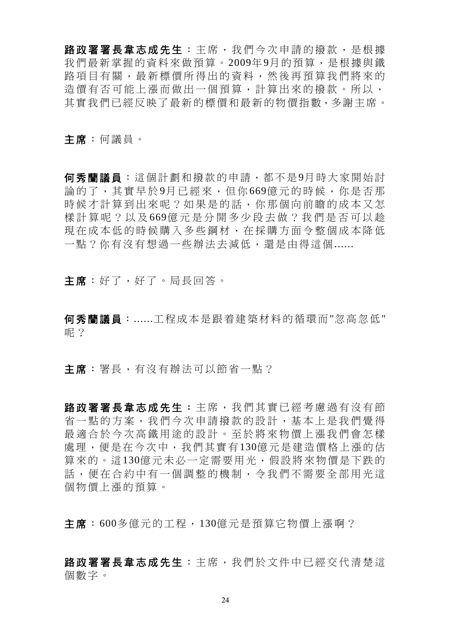路政署署長韋志成先生:主席,我們今次申請的撥款,是根據 我們最新掌握的資料來做預算。2009年9月的預算,是根據與鐵 路項目有關,最新標價所得出的資料,然後再預算我們將來的 造價有否可能上漲而做出一個預算,計算出來的撥款。所以, 其實我們已經反映了最新的標價和最新的物價指數,多謝主席。

主席:何議員。

何秀蘭議員:這個計劃和撥款的申請,都不是9月時大家開始討 論的了,其實早於 9月已經來,但你 669億元的時候,你是否那 時候才計算到出來呢?如果是的話,你那個向前瞻的成本又怎 樣計算呢?以及 669億元是分開多少段去做?我們是否可以趁 現在成本低的時候購入多些鋼材,在採購方面今整個成本降低 一點?你有沒有想過一些辦法去減低,還是由得這個......

**主席**:好了,好了。局長回答。

何秀蘭議員:......工程成本是跟着建築材料的循環而"忽高忽低" 呢?

主席:署長,有沒有辦法可以節省一點?

路政署署長韋志成先生: 主席, 我們其實已經考慮過有沒有節 省一點的方案,我們今次申請撥款的設計,基本上是我們覺得 最適合於今次高鐵用途的設計。至於將來物價上漲我們會怎樣 處理,便是在今次中,我們其實有130億元是建造價格上漲的估 算來的。這130億元未必一定需要用光,假設將來物價是下跌的 話,便在合約中有一個調整的機制,令我們不需要全部用光這 個物價上漲的預算。

主席:600多億元的工程,130億元是預算它物價上漲啊?

路政署署長韋志成先生:主席,我們於文件中已經交代清楚這 個數字。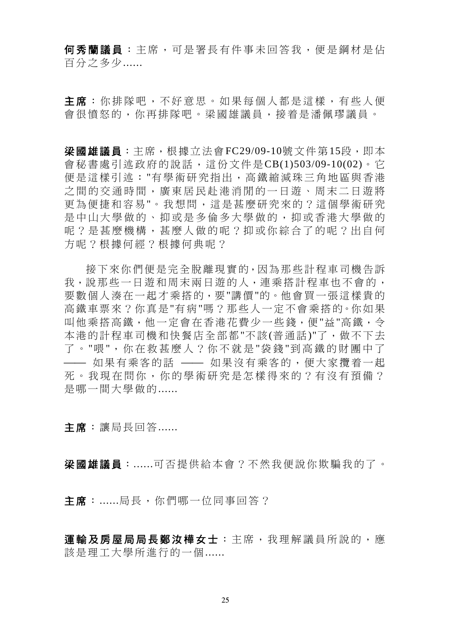何秀蘭議員:主席,可是署長有件事未回答我,便是鋼材是佔 百分之多少......

主席:你排隊吧,不好意思。如果每個人都是這樣,有些人便 會很憤怒的,你再排隊吧。梁國雄議員,接着是潘佩璆議員。

梁國雄議員:主席,根據立法會FC29/09-10號文件第15段,即本 會秘書處引述政府的說話,這份文件是CB(1)503/09-10(02)。它 便是這樣引述:"有學術研究指出,高鐵縮減珠三角地區與香港 之間的交通時間,廣東居民赴港消閒的一日遊、周末二日遊將 更為便捷和容易"。我想問,這是甚麼研究來的?這個學術研究 是中山大學做的、抑或是多倫多大學做的,抑或香港大學做的 呢?是甚麼機構,甚麼人做的呢?抑或你綜合了的呢?出自何 方呢?根據何經?根據何典呢?

接下來你們便是完全脫離現實的,因為那些計程車司機告訴 我,說那些一日遊和周末兩日遊的人,連乘搭計程車也不會的, 要數個人湊在一起才乘搭的,要"講價"的。他會買一張這樣貴的 高鐵車票來?你真是"有病"嗎?那些人一定不會乘搭的。你如果 叫他乘搭高鐵,他一定會在香港花費少一些錢,便"益"高鐵,令 本港的計程車司機和快餐店全部都"不該(普通話)"了,做不下去 了 。 "喂 ",你在救甚麼人?你不就是 "袋 錢 "到高鐵的財團中了 **——**如果有乘客的話 ——如果沒有乘客的,便大家攬着一起 死。我現在問你,你的學術研究是怎樣得來的?有沒有預備? 是哪一間大學做的......

主席:讓局長回答......

梁國雄議員:......可否提供給本會?不然我便說你欺騙我的了。

主席:......局長,你們哪一位同事回答?

運輸及房屋局局長鄭汝樺女士:主席,我理解議員所說的,應 該是理工大學所進行的一個......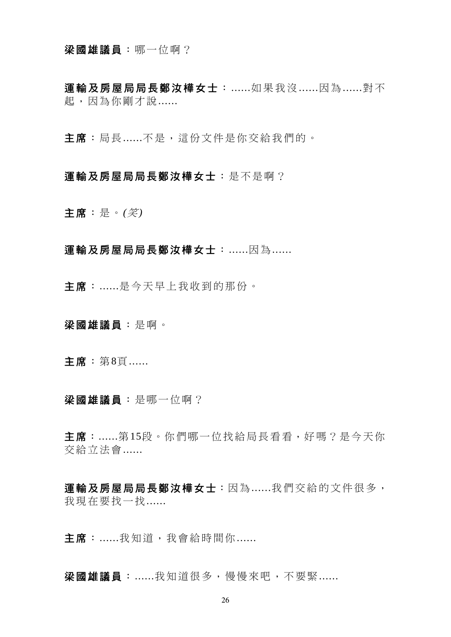#### 梁國雄議員:哪一位啊?

軍輸及房屋局局長鄭汝樺女士: ......如果我沒 ......因為 ......對不 起,因為你剛才說......

主席:局長......不是,這份文件是你交給我們的。

### 運輸及房屋局局長鄭汝樺女士:是不是啊?

主席:是。*(*笑*)*

## 運輸及房屋局局長鄭汝樺女士:......因為......

主席:......是今天早上我收到的那份。

梁國雄議員:是啊。

主席:第8頁......

梁國雄議員:是哪一位啊?

主席:......第15段。你們哪一位找給局長看看,好嗎?是今天你 交給立法會......

運輸及房屋局局長鄭汝樺女士:因為 ......我們交給的文件很多, 我現在要找一找......

主席:......我知道,我會給時間你......

梁國雄議員:......我知道很多,慢慢來吧,不要緊......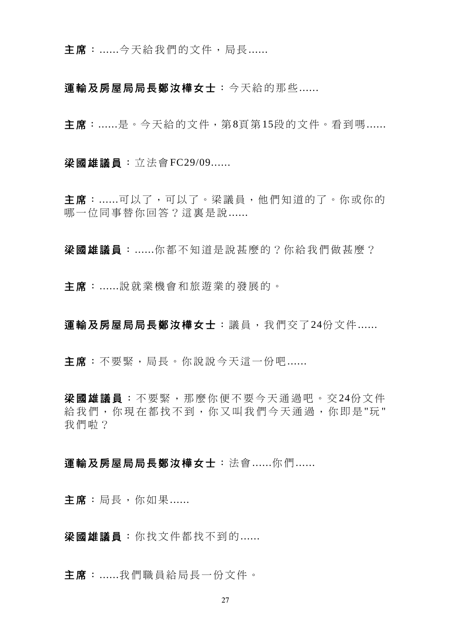主席:......今天給我們的文件,局長......

軍輸及房屋局局長鄭汝樺女士:今天給的那些......

主席:......是。今天給的文件,第8頁第15段的文件。看到嗎......

梁國雄議員:立法會FC29/09......

主席:......可以了,可以了。梁議員,他們知道的了。你或你的 哪一位同事替你回答?這裏是說......

梁國雄議員:......你都不知道是說甚麼的?你給我們做甚麼?

主席:......說就業機會和旅遊業的發展的。

運輸及房屋局局長鄭汝樺女士:議員,我們交了24份文件 ......

主席:不要緊,局長。你說說今天這一份吧......

梁國雄議員:不要緊,那麼你便不要今天通過吧。交24份文件 給我們,你現在都找不到,你又叫我們今天通過,你即是"玩" 我們啦?

# 運輸及房屋局局長鄭汝樺女士:法會 ......你們 ......

主席:局長,你如果......

梁國雄議員:你找文件都找不到的......

主席:......我們職員給局長一份文件。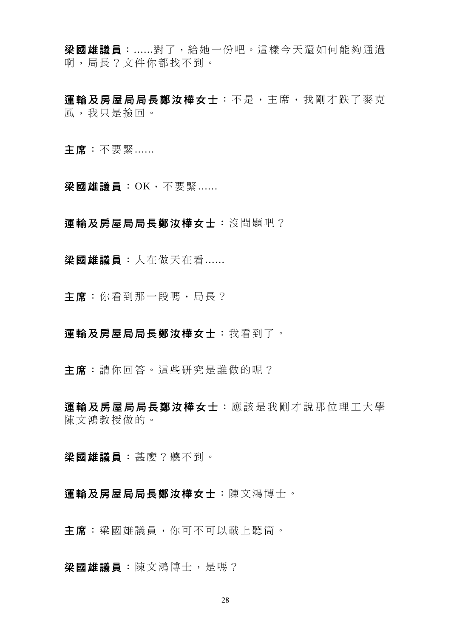梁國雄議員:......對了,給她一份吧。這樣今天還如何能夠通過 啊,局長?文件你都找不到。

運輸及房屋局局長鄭汝樺女士:不是,主席,我剛才跌了麥克 風,我只是撿回。

主席:不要緊......

梁國雄議員: OK, 不要緊......

#### 運輸及房屋局局長鄭汝樺女士:沒問題吧?

梁國雄議員:人在做天在看......

主席:你看到那一段嗎,局長?

### 運輸及房屋局局長鄭汝樺女士:我看到了。

主席:請你回答。這些研究是誰做的呢?

軍輸及房屋局局長鄭汝樺女士 : 應該是我剛才說那位理工大學 陳文鴻教授做的。

梁國雄議員:甚麼?聽不到。

### 運輸及房屋局局長鄭汝樺女士:陳文鴻博士。

主席:梁國雄議員,你可不可以載上聽筒。

梁國雄議員:陳文鴻博士,是嗎?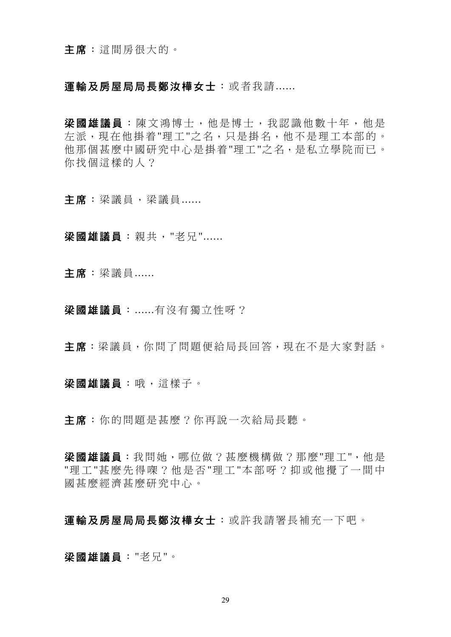### 運輸及房屋局局長鄭汝樺女士:或者我請......

梁國雄議員:陳文鴻博士,他是博士,我認識他數十年,他是 左派,現在他掛着"理工"之名,只是掛名,他不是理工本部的。 他那個甚麼中國研究中心是掛着"理工"之名,是私立學院而已。 你找個這樣的人?

主席:梁議員,梁議員......

梁國雄議員:親共,"老兄"......

主席:梁議員......

梁國雄議員:......有沒有獨立性呀?

主席:梁議員,你問了問題便給局長回答,現在不是大家對話。

梁國雄議員:哦,這樣子。

主席:你的問題是甚麼?你再說一次給局長聽。

梁國雄議員:我問她,哪位做?甚麼機構做?那麼"理工",他是 "理工"甚麼先得喫?他是否"理工"本部呀?抑或他攪了一間中 國甚麼經濟甚麼研究中心。

## 運輸及房屋局局長鄭汝樺女士:或許我請署長補充一下吧。

梁國雄議員:"老兄"。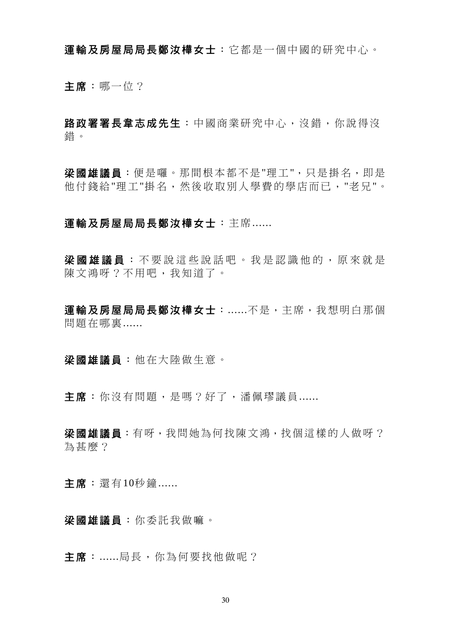運輸及房屋局局長鄭汝樺女士:它都是一個中國的研究中心。

主席:哪一位?

路政署署長韋志成先生:中國商業研究中心,沒錯,你說得沒 錯。

梁國雄議員:便是囉。那間根本都不是"理工",只是掛名,即是 他付錢給"理工"掛名,然後收取別人學費的學店而已,"老兄"。

### 運輸及房屋局局長鄭汝樺女士:主席......

梁國雄議員 :不要說這些說話吧 。我是認識他的,原來就是 陳文鴻呀?不用吧,我知道了。

運輸及房屋局局長鄭汝樺女士:......不是,主席,我想明白那個 問題在哪裏......

梁國雄議員:他在大陸做生意。

主席:你沒有問題,是嗎?好了,潘佩璆議員......

梁國雄議員: 有呀, 我問她為何找陳文鴻, 找個這樣的人做呀? 為甚麼?

主席:還有10秒鐘......

梁國雄議員:你委託我做嘛。

主席:......局長,你為何要找他做呢?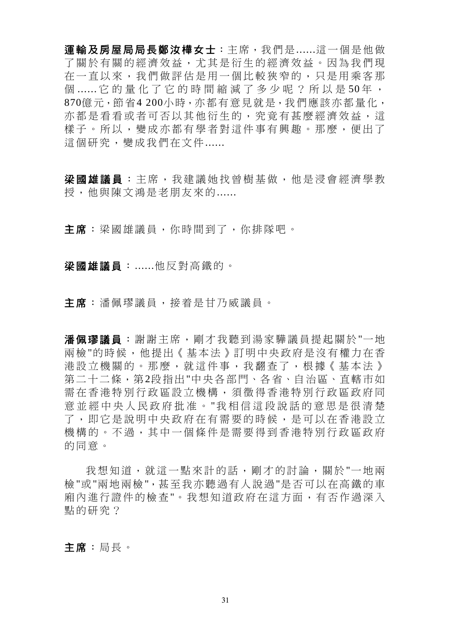運輸及房屋局局長鄭汝樺女士:主席,我們是......這一個是他做 了關於有關的經濟效益,尤其是衍生的經濟效益。因為我們現 在一直以來,我們做評估是用一個比較狹窄的,只是用乘客那 個 ...... 它的量化了它的時間縮減了多少呢?所以是50年, 870億元, 節省4 200小時, 亦都有意見就是, 我們應該亦都量化, 亦都是看看或者可否以其他衍生的,究竟有甚麼經濟效益,這 樣子。所以,變成亦都有學者對這件事有興趣。那麼,便出了 這個研究,變成我們在文件......

梁國雄議員 :主席,我建議她找曾樹基做,他是浸會經濟學教 授,他與陳文鴻是老朋友來的......

主席:梁國雄議員,你時間到了,你排隊吧。

梁國雄議員:......他反對高鐵的。

主席:潘佩璆議員,接着是甘乃威議員。

潘佩璆議員:謝謝主席,剛才我聽到湯家驊議員提起關於"一地 兩檢"的時候,他提出《基本法》訂明中央政府是沒有權力在香 港設立機關的。那麼,就這件事,我翻查了,根據《基本法》 第二十二條,第2段指出"中央各部門、各省、自治區、直轄市如 需在香港特別行政區設立機構,須徵得香港特別行政區政府同 意並經中央人民政府批准。 "我相信這段說話的意思是很清楚 了,即它是說明中央政府在有需要的時候,是可以在香港設立 機構的。不過,其中一個條件是需要得到香港特別行政區政府 的同意。

我想知道,就這一點來計的話,剛才的討論,關於"一地兩 檢"或"兩地兩檢",甚至我亦聽過有人說過"是否可以在高鐵的車 廂內進行證件的檢查"。我想知道政府在這方面,有否作過深入 點的研究?

主席:局長。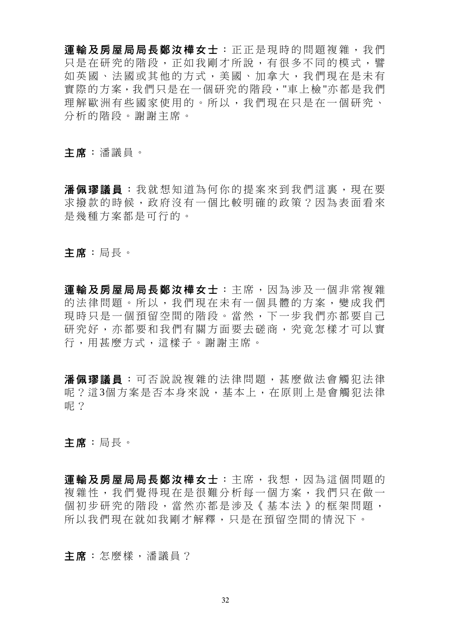運輸及房屋局局長鄭汝樺女士:正正是現時的問題複雜,我們 只是在研究的階段,正如我剛才所說,有很多不同的模式,譬 如英國、法國或其他的方式,美國、加拿大,我們現在是未有 實際的方案,我們只是在一個研究的階段,"車上檢"亦都是我們 理解歐洲有些國家使用的。所以,我們現在只是在一個研究、 分析的階段。謝謝主席。

主席:潘議員。

潘佩璆議員:我就想知道為何你的提案來到我們這裏,現在要 求撥款的時候,政府沒有一個比較明確的政策?因為表面看來 是幾種方案都是可行的。

主席:局長。

軍輪及房屋局局長鄭汝樺女士:主席,因為涉及一個非常複雜 的法律問題。所以,我們現在未有一個具體的方案,變成我們 現時只是一個預留空間的階段。當然,下一步我們亦都要自己 研究好,亦都要和我們有關方面要去磋商,究竟怎樣才可以實 行,用甚麼方式,這樣子。謝謝主席。

潘佩璆議員 :可否說說複雜的法律問題,甚麼做法會觸犯法律 呢?這3個方案是否本身來說,基本上,在原則上是會觸犯法律 呢?

主席:局長。

軍輸及房屋局局長鄭汝樺女士:主席,我想,因為這個問題的 複雜性,我們覺得現在是很難分析每一個方案,我們只在做一 個初步研究的階段,當然亦都是涉及《基本法》的框架問題, 所以我們現在就如我剛才解釋,只是在預留空間的情況下。

主席:怎麼樣,潘議員?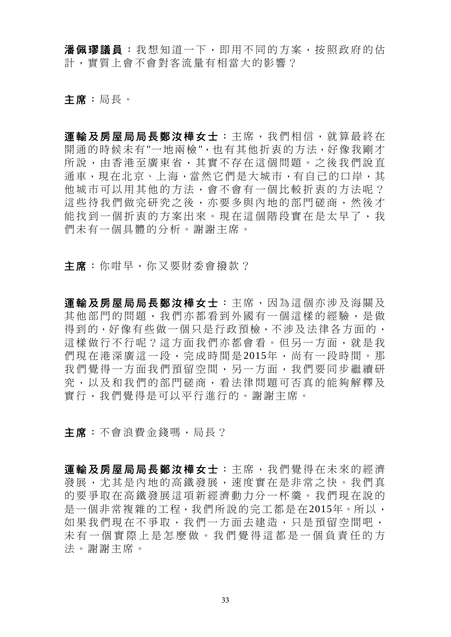潘佩璆議員:我想知道一下,即用不同的方案,按照政府的估 計,實質上會不會對客流量有相當大的影響?

主席:局長。

軍輪及房屋局局長鄭汝樺女士:主席,我們相信,就算最終在 開通的時候未有"一地兩檢",也有其他折衷的方法,好像我剛才 所說,由香港至廣東省,其實不存在這個問題。之後我們說直 通車,現在北京、上海,當然它們是大城市,有自己的口岸,其 他城市可以用其他的方法,會不會有一個比較折衷的方法呢? 這些待我們做完研究之後,亦要多與內地的部門磋商,然後才 能找到一個折衷的方案出來。現在這個階段實在是太早了,我 們未有一個具體的分析。謝謝主席。

主席:你咁早,你又要財委會撥款?

運輸及房屋局局長鄭汝樺女士:主席,因為這個亦涉及海關及 其他部門的問題,我們亦都看到外國有一個這樣的經驗,是做 得到的,好像有些做一個只是行政預檢,不涉及法律各方面的, 這樣做行不行呢?這方面我們亦都會看。但另一方面,就是我 們現在港深廣這一段,完成時間是 2015年,尚有一段時間。那 我們覺得一方面招們預留空間,另一方面,我們要同步繼續研 究,以及和我們的部門磋商,看法律問題可否真的能夠解釋及 實行,我們覺得是可以平行進行的。謝謝主席。

主席:不會浪費金錢嗎,局長?

運輸及房屋局局長鄭汝樺女士:主席,我們覺得在未來的經濟 發展,尤其是內地的高鐵發展,速度實在是非常之快。我們真 的要爭取在高鐵發展這項新經濟動力分一杯羹。我們現在說的 是一個非常複雜的工程,我們所說的完工都是在2015年。所以, 如果我們現在不爭取,我們一方面去建造,只是預留空間吧, 未有一個實際上是怎麼做。我 們覺得這都是一個負責任的方 法。謝謝主席。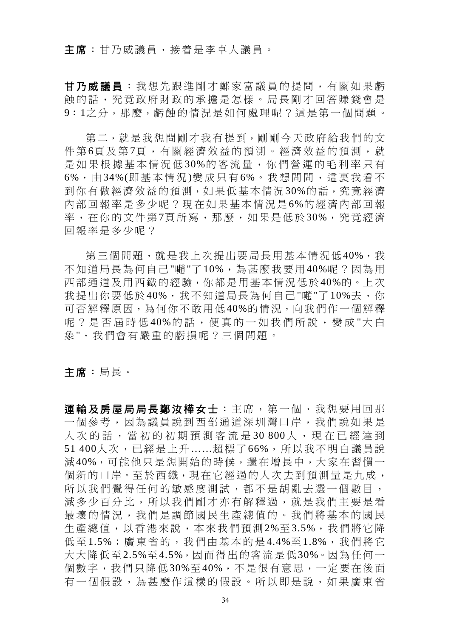### 主席:甘乃威議員,接着是李卓人議員。

甘乃威議員:我想先跟進剛才鄭家富議員的提問,有關如果虧 蝕的話,究竟政府財政的承擔是怎樣。局長剛才回答賺錢會是 9:1之分,那麼,虧蝕的情況是如何處理呢?這是第一個問題。

第二, 就是我想問剛才我有提到, 剛剛今天政府給我們的文 件第6頁及第7頁,有關經濟效益的預測。經濟效益的預測,就 是如果根據基本情況低 30%的客流量,你們營運的毛利率只有 6%,由 34%(即基本情況)變成只有 6%。我想問問,這裏我看不 到你有做經濟效益的預測,如果低基本情況30%的話,究竟經濟 內部回報率是多少呢?現在如果基本情況是6%的經濟內部回報 率,在你的文件第7頁所寫,那麼,如果是低於30%,究竟經濟 回報率是多少呢?

第三個問題,就是我上次提出要局長用基本情況低40%,我 不知道局長為何自己"晡"了10%,為甚麼我要用40%呢?因為用 西部通道及用西鐵的經驗,你都是用基本情況低於40%的。上次 我提出你要低於40%,我不知道局長為何自己"嘣"了10%去,你 可否解釋原因,為何你不敢用低40%的情況,向我們作一個解釋 呢?是否屆時低 40%的話,便真的一如我們所說,變成"大白 象",我們會有嚴重的虧損呢?三個問題。

主席:局長。

運輸及房屋局局長鄭汝樺女士:主席,第一個,我想要用回那 一個參考,因為議員說到西部通道深圳灣口岸,我們說如果是 人次的話,當初的初期預測客流是30 800人,現在已經達到 51 400人次,已經是上升……超標了66%,所以我不明白議員說 減40%,可能他只是想開始的時候,還在增長中,大家在習慣一 個新的口岸。至於西鐵,現在它經過的人次去到預測量是九成, 所以我們覺得任何的敏感度測試,都不是胡亂去選一個數目, 減多少百分比,所以我們剛才亦有解釋過,就是我們主要是看 最壞的情況,我們是調節國民生產總值的。我們將基本的國民 生產總值,以香港來說,本來我們預測2%至3.5%,我們將它降 低至1.5%;廣東省的,我們由基本的是4.4%至1.8%,我們將它 大大降低至2.5%至4.5%,因而得出的客流是低30%。因為任何一 個數字,我們只降低30%至40%,不是很有意思,一定要在後面 有一個假設,為甚麼作這樣的假設。所以即是說,如果廣東省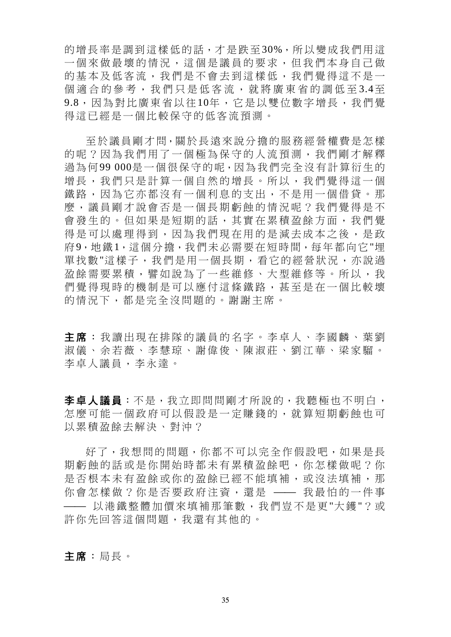的增長率是調到這樣低的話,才是跌至30%,所以變成我們用這 一個來做最壞的情況,這個是議員的要求,但我們本身自己做 的基本及低客流,我們是不會去到這樣低,我們覺得這不是一 個適合的參考,我們只是低客流,就將廣東省的調低至3.4至 9.8,因為對比廣東省以往10年,它是以雙位數字增長,我們覺 得這已經是一個比較保守的低客流預測。

至於議員剛才問,關於長遠來說分擔的服務經營權費是怎樣 的呢?因為我們用了一個極為保守的人流預測,我們剛才解釋 過為何99 000是一個很保守的呢,因為我們完全沒有計算衍生的 增長,我們只是計算一個自然的增長。所以,我們覺得這一個 鐵路,因為它亦都沒有一個利息的支出,不是用一個借貸。那 麼,議員剛才說會否是一個長期虧蝕的情況呢?我們覺得是不 會發生的。但如果是短期的話,其實在累積盈餘方面,我們覺 得是可以處理得到,因為我們現在用的是減去成本之後,是政 府9,地鐵1,這個分擔,我們未必需要在短時間,每年都向它"埋 單找數"這樣子,我們是用一個長期,看它的經營狀況,亦說過 盈餘需要累積,譬如說為了一些維修、大型維修等。所以,我 們覺得現時的機制是可以應付這條鐵路,甚至是在一個比較壞 的情況下,都是完全沒問題的。謝謝主席。

主席:我讀出現在排隊的議員的名字。李卓人、李國麟、葉劉 淑儀、余若薇、李慧琼、謝偉俊、陳淑莊、劉江華、梁家騮。 李卓人議員,李永達。

李卓人議員:不是,我立即問問剛才所說的,我聽極也不明白, 怎麼可能一個政府可以假設是一定賺錢的,就算短期虧蝕也可 以累積盈餘去解決、對沖?

好了,我想問的問題,你都不可以完全作假設吧,如果是長 期虧蝕的話或是你開始時都未有累積盈餘吧,你怎樣做呢?你 是否根本未有盈餘或你的盈餘已經不能填補,或沒法填補,那 你會怎樣做?你是否要政府注資,還是 —— 我最怕的一件事 ⎯⎯ 以港鐵整體加價來填補那筆數,我們豈不是更"大鑊"?或 許你先回答這個問題,我還有其他的。

主席:局長。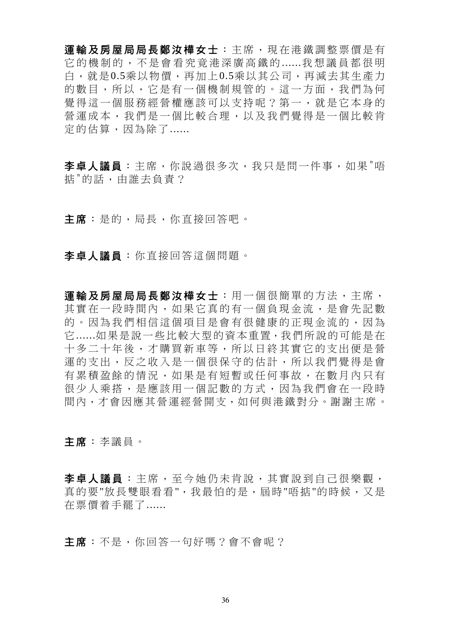運輸及房屋局局長鄭汝樺女士:主席,現在港鐵調整票價是有 它的機制的,不是會看究竟港深廣高鐵的 ......我想議員都很明 白,就是0.5乘以物價,再加上0.5乘以其公司,再減去其生產力 的數目,所以,它是有一個機制規管的。這一方面,我們為何 覺得這一個服務經營權應該可以支持呢?第一,就是它本身的 營運成本,我們是一個比較合理,以及我們覺得是一個比較肯 定的估算,因為除了......

李卓人議員:主席,你說過很多次,我只是問一件事,如果"唔 掂"的話,由誰去負責?

主席:是的,局長,你直接回答吧。

李卓人議員:你直接回答這個問題。

運輸及房屋局局長鄭汝樺女士:用一個很簡單的方法,主席, 其實在一段時間內,如果它真的有一個負現金流,是會先記數 的。因為我們相信這個項目是會有很健康的正現金流的,因為 它......如果是說一些比較大型的資本重置,我們所說的可能是在 十多二十年後,才購買新車等,所以日終其實它的支出便是營 運的支出,反之收入是一個很保守的估計,所以我們覺得是會 有累積盈餘的情況,如果是有短暫或任何事故,在數月內只有 很少人乘搭,是應該用一個記數的方式,因為我們會在一段時 間內,才會因應其營運經營開支,如何與港鐵對分。謝謝主席。

主席:李議員。

李卓人議員 :主席,至今她仍未肯說,其實說到自己很樂觀, 真的要"放長雙眼看看",我最怕的是,屆時"唔掂"的時候,又是 在票價着手罷了......

主席:不是,你回答一句好嗎?會不會呢?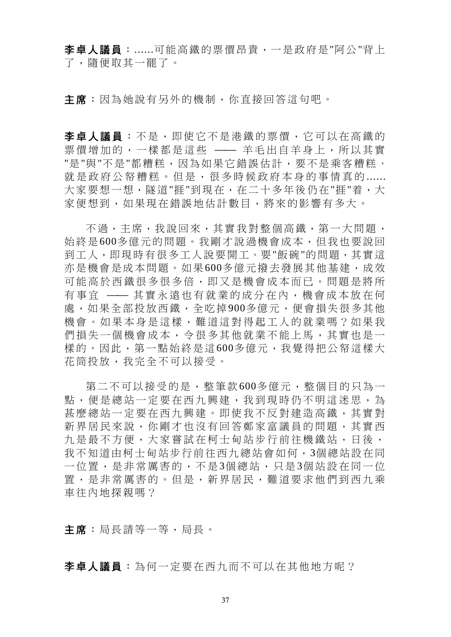李卓人議員:......可能高鐵的票價昂貴,一是政府是"阿公"背上 了,隨便取其一罷了。

主席:因為她說有另外的機制,你直接回答這句吧。

李卓人議員 :不是,即使它不是港鐵的票價,它可以在高鐵的 票價增加的,一樣都是這些 —— 羊毛出自羊身上,所以其實 "是"與"不是"都糟糕,因為如果它錯誤估計,要不是乘客糟糕、 就是政府公帑糟糕。但是,很多時候政府本身的事情真的 ...... 大家要想一想,隧道"捱"到現在,在二十多年後仍在"捱"着,大 家便想到,如果現在錯誤地估計數目,將來的影響有多大。

不過,主席,我說回來,其實我對整個高鐵,第一大問題, 始終是600多億元的問題。我剛才說過機會成本,但我也要說回 到工人,即現時有很多工人說要開工、要"飯碗"的問題,其實這 亦是機會是成本問題。如果600多億元撥去發展其他基建,成效 可能高於西鐵很多很多倍,即又是機會成本而已。問題是將所 有事宜 —— 其實永遠也有就業的成分在內,機會成本放在何 處,如果全部投放西鐵,全吃掉900多億元,便會損失很多其他 機會。如果本身是這樣,難道這對得起工人的就業嗎?如果我 們損失一個機會成本,令很多其他就業不能上馬,其實也是一 樣的。因此,第一點始終是這600多億元,我覺得把公帑這樣大 花筒投放,我完全不可以接受。

第二不可以接受的是,整筆款600多億元,整個目的只為一 點,便是總站一定要在西九興建,我到現時仍不明這迷思,為 甚麼總站一定要在西九興建。即使我不反對建造高鐵,其實對 新界居民來說,你剛才也沒有回答鄭家富議員的問題,其實西 九是最不方便,大家嘗試在柯士甸站步行前往機鐵站,日後, 我不知道由柯士甸站步行前往西九總站會如何,3個總站設在同 一位置,是非常厲害的,不是3個總站,只是3個站設在同一位 置,是非常厲害的。但是,新界居民,難道要求他們到西九乘 車往內地探親嗎?

主席:局長請等一等,局長。

李卓人議員:為何一定要在西九而不可以在其他地方呢?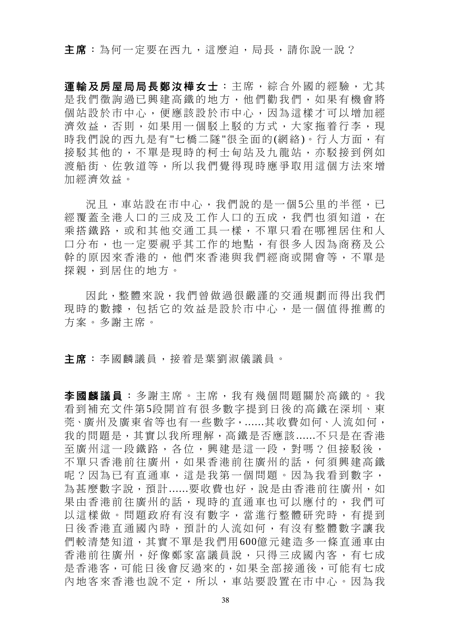主席:為何一定要在西九,這麼迫,局長,請你說一說?

運輸及房屋局局長鄭汝樺女士:主席,綜合外國的經驗,尤其 是我們徵詢過已興建高鐵的地方,他們勸我們,如果有機會將 個站設於市中心,便應該設於市中心,因為這樣才可以增加經 濟效益,否則,如果用一個駁上駁的方式,大家拖着行李,現 時我們說的西九是有"七橋二隊"很全面的(網絡)。行人方面,有 接駁其他的,不單是現時的柯士甸站及九龍站,亦駁接到例如 渡船街、佐敦道等,所以我們覺得現時應爭取用這個方法來增 加經濟效益。

況且,車站設在市中心,我們說的是一個5公里的半徑,已 經覆蓋全港人口的三成及工作人口的五成,我們也須知道,在 乘搭鐵路,或和其他交通工具一樣,不單只看在哪裡居住和人 口分布,也一定要視乎其工作的地點,有很多人因為商務及公 幹的原因來香港的,他們來香港與我們經商或開會等,不單是 探親,到居住的地方。

因此,整體來說,我們曾做過很嚴謹的交通規劃而得出我們 現時的數據,包括它的效益是設於市中心,是一個值得推薦的 方案。多謝主席。

主席:李國麟議員,接着是葉劉淑儀議員。

李國麟議員 :多謝主席。主席,我有幾個問題關於高鐵的。我 看到補充文件第5段開首有很多數字提到日後的高鐵在深圳、東 莞、廣州及廣東省等也有一些數字,......其收費如何、人流如何, 我的問題是,其實以我所理解,高鐵是否應該......不只是在香港 至廣州這一段鐵路,各位,興建是這一段,對嗎?但接駁後, 不單只香港前往廣州,如果香港前往廣州的話,何須興建高鐵 呢?因為已有直通車,這是我第一個問題。因為我看到數字, 為甚麼數字說,預計......要收費也好,說是由香港前往廣州,如 果由香港前往廣州的話,現時的直通車也可以應付的,我們可 以這樣做。問題政府有沒有數字,當進行整體研究時,有提到 日後香港直通國內時,預計的人流如何,有沒有整體數字讓我 們較清楚知道,其實不單是我們用600億元建造多一條直通車由 香港前往廣州,好像鄭家富議員說,只得三成國內客,有七成 是香港客,可能日後會反過來的,如果全部接通後,可能有七成 內地客來香港也說不定,所以,車站要設置在市中心。因為我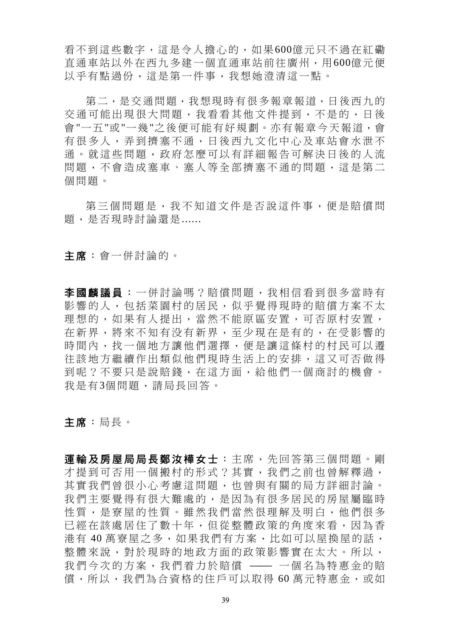看不到這些數字,這是令人擔心的,如果600億元只不過在紅磡 直通車站以外在西九多建一個直通車站前往廣州,用600億元便 以乎有點過份,這是第一件事,我想她澄清這一點。

第二,是交通問題,我想現時有很多報章報道,日後西九的 交通可能出現很大問題,我看看其他文件提到,不是的,日後 會"一五"或"一幾"之後便可能有好規劃。亦有報章今天報道,會 有很多人,弄到擠塞不通,日後西九文化中心及車站會水泄不 通。就這些問題,政府怎麼可以有詳細報告可解決日後的人流 問題,不會造成塞車、塞人等全部擠塞不通的問題,這是第二 個問題。

第三個問題是,我不知道文件是否說這件事,便是賠償問 題,是否現時討論還是......

主席:會一併討論的。

李國麟議員 :一併討論嗎?賠償問題,我相信看到很多當時有 影響的人,包括菜園村的居民,似乎覺得現時的賠償方案不太 理想的,如果有人提出,當然不能原區安置,可否原村安置, 在新界,將來不知有没有新界,至少現在是有的,在受影響的 時間內,找一個地方讓他們選擇,便是讓這條村的村民可以遷 往該地方繼續作出類似他們現時生活上的安排,這又可否做得 到呢?不要只是說賠錢,在這方面,給他們一個商討的機會。 我是有3個問題,請局長回答。

主席:局長。

軍輪及房屋局局長鄭汝樺女士:主席,先回答第三個問題。剛 才提到可否用一個搬村的形式?其實,我們之前也曾解釋過, 其實我們曾很小心考慮這問題,也曾與有關的局方詳細討論。 我們主要覺得有很大難處的,是因為有很多居民的房屋屬臨時 性質,是寮屋的性質。雖然我們當然很理解及明白,他們很多 已經在該處居住了數十年,但從整體政策的角度來看,因為香 港有40萬寮屋之多,如果我們有方案,比如可以屋換屋的話, 整體來說,對於現時的地政方面的政策影響實在太大。所以, 我們今次的方案,我們着力於賠償 —— 一個名為特惠金的賠 償,所以,我們為合資格的住戶可以取得 60 萬元特惠金,或如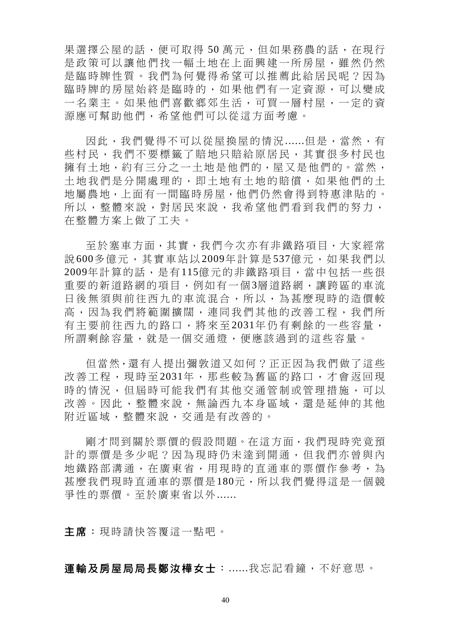果選擇公屋的話,便可取得50萬元,但如果務農的話,在現行 是政策可以讓他們找一幅土地在上面興建一所房屋,雖然仍然 是臨時牌性質。我們為何覺得希望可以推薦此給居民呢?因為 臨時牌的房屋始終是臨時的,如果他們有一定資源,可以變成 一名業主。如果他們喜歡鄉郊生活,可買一層村屋,一定的資 源應可幫助他們,希望他們可以從這方面考慮。

因此,我們覺得不可以從屋換屋的情況......但是,當然,有 些村民,我們不要標籤了賠地只賠給原居民,其實很多村民也 擁有土地,約有三分之一土地是他們的,屋又是他們的。當然, 土地我們是分開處理的,即土地有土地的賠償,如果他們的土 地屬農地,上面有一間臨時房屋,他們仍然會得到特惠津貼的。 所以,整體來說,對居民來說,我希望他們看到我們的努力, 在整體方案上做了工夫。

至於塞車方面,其實,我們今次亦有非鐵路項目,大家經常 說 600多億元,其實車站以 2009年計算是 537億元,如果我們以 2009年計算的話,是有115億元的非鐵路項目,當中包括一些很 重要的新道路網的項目,例如有一個3層道路網,讓跨區的車流 日後無須與前往西九的車流混合,所以,為甚麼現時的造價較 高,因為我們將範圍擴闊,連同我們其他的改善工程,我們所 有主要前往西九的路口,將來至 2031年仍有剩餘的一些容量, 所謂剩餘容量,就是一個交通燈,便應該過到的這些容量。

但當然,還有人提出彌敦道又如何?正正因為我們做了這些 改善工程,現時至 2031年,那些較為舊區的路口,才會返回現 時的情況,但屆時可能我們有其他交通管制或管理措施,可以 改善。因此,整體來說,無論西九本身區域,還是延伸的其他 附近區域,整體來說,交通是有改善的。

剛才問到關於票價的假設問題。在這方面,我們現時究竟預 計的票價是多少呢?因為現時仍未達到開通,但我們亦曾與內 地鐵路部溝通,在廣東省,用現時的直通車的票價作參考,為 甚麼我們現時直通車的票價是180元,所以我們覺得這是一個競 爭性的票價。至於廣東省以外......

主席:現時請快答覆這一點吧。

運輸及房屋局局長鄭汝樺女士:......我忘記看鐘,不好意思。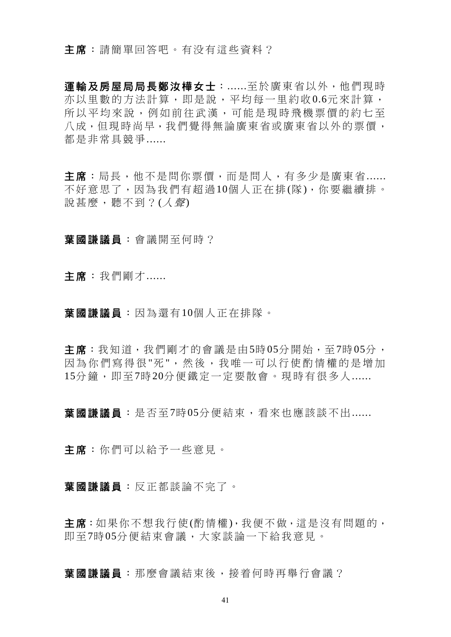主席:請簡單回答吧。有没有這些資料?

運輸及房屋局局長鄭汝樺女士:......至於廣東省以外,他們現時 亦以里數的方法計算,即是說,平均每一里約收0.6元來計算, 所以平均來說,例如前往武漢,可能是現時飛機票價的約七至 八成,但現時尚早,我們覺得無論廣東省或廣東省以外的票價, 都是非常具競爭......

主席:局長,他不是問你票價,而是問人,有多少是廣東省...... 不好意思了,因為我們有超過10個人正在排(隊),你要繼續排。 說甚麼,聽不到? $(\angle$ *聲*)

葉國謙議員:會議開至何時?

主席:我們剛才……

葉國謙議員:因為還有10個人正在排隊。

主席:我知道,我們剛才的會議是由5時05分開始,至7時05分, 因為你們寫得很 "死 ",然後,我唯一可以行使酌情權的是增加 15分鐘,則至7時20分便鐵定一定要散會。現時有很多人......

**葉國謙議員**: 是否至7時05分便結束,看來也應該談不出......

主席:你們可以給予一些意見。

葉國謙議員:反正都談論不完了。

主席:如果你不想我行使(酌情權),我便不做,這是沒有問題的, 即至7時05分便結束會議,大家談論一下給我意見。

**葉國謙議員**: 那麼會議結束後, 接着何時再舉行會議?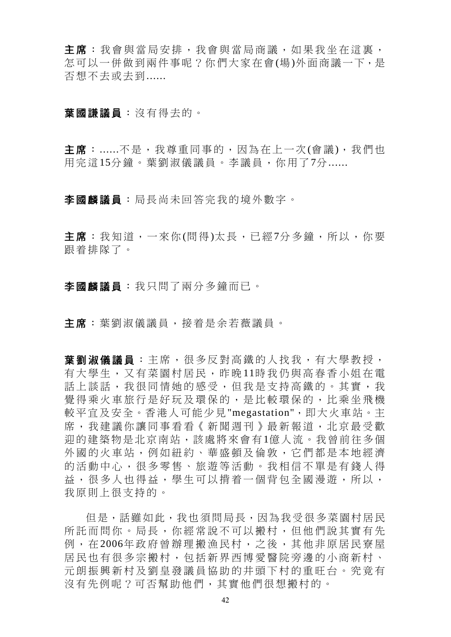主席:我會與當局安排,我會與當局商議,如果我坐在這裏, 怎可以一併做到兩件事呢?你們大家在會(場)外面商議一下,是 否想不去或去到......

#### 葉國謙議員:沒有得去的。

主席:......不是,我尊重同事的,因為在上一次(會議),我們也 用完這15分鐘。葉劉淑儀議員。李議員,你用了7分......

李國麟議員:局長尚未回答完我的境外數字。

主席:我知道,一來你(問得)太長,已經7分多鐘,所以,你要 跟着排隊了。

李國麟議員:我只問了兩分多鐘而已。

主席:葉劉淑儀議員,接着是余若薇議員。

**葉劉淑儀議員** : 主席, 很多反對高鐵的人找我, 有大學教授, 有大學生,又有菜園村居民,昨晚 11時我仍與高春香小姐在電 話上談話,我很同情她的感受,但我是支持高鐵的。其實,我 覺得乘火車旅行是好玩及環保的,是比較環保的,比乘坐飛機 較平宜及安全。香港人可能少見"megastation",即大火車站。主 席,我建議你讓同事看看《新聞週刊》最新報道,北京最受歡 迎的建築物是北京南站,該處將來會有1億人流。我曾前往多個 外國的火車站,例如紐約、華盛頓及倫敦,它們都是本地經濟 的活動中心,很多零售、旅遊等活動。我相信不單是有錢人得 益,很多人也得益,學生可以揹着一個背包全國漫游,所以, 我原則上很支持的。

但是,話雖如此,我也須問局長,因為我受很多菜園村居民 所託而問你。局長,你經常說不可以搬村,但他們說其實有先 例, 在2006年政府曾辦理搬漁民村, 之後, 其他非原居民寮屋 居民也有很多宗搬村,包括新界西博愛醫院旁邊的小商新村、 元朗振興新村及劉皇發議員協助的井頭下村的重旺台。究竟有 沒有先例呢?可否幫助他們,其實他們很想搬村的。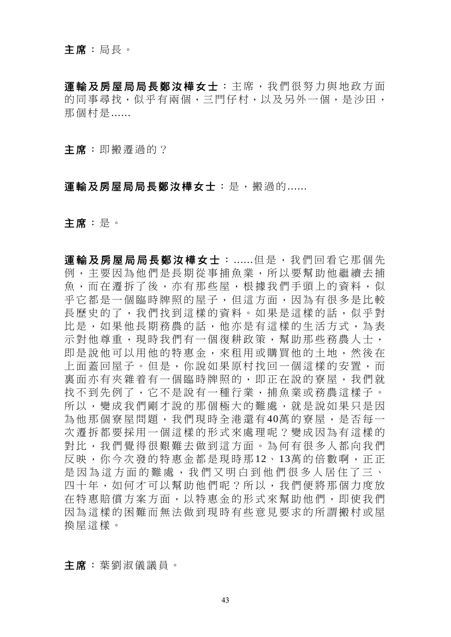運輸及房屋局局長鄭汝樺女士:主席,我們很努力與地政方面 的同事尋找,似乎有兩個,三門仔村,以及另外一個,是沙田, 那個村是......

主席:即搬遷過的?

### 軍輪及房屋局局長鄭汝樺女士:是,搬過的......

主席:是。

運輸及房屋局局長鄭汝樺女士:……但是,我們回看它那個先 例,主要因為他們是長期從事捕魚業,所以要幫助他繼續去捕 魚,而在遷拆了後,亦有那些屋,根據我們手頭上的資料,似 乎它都是一個臨時牌照的屋子,但這方面,因為有很多是比較 長歷史的了,我們找到這樣的資料。如果是這樣的話,似乎對 比是,如果他長期務農的話,他亦是有這樣的生活方式,為表 示對他尊重,現時我們有一個復耕政策,幫助那些務農人士, 即是說他可以用他的特惠金,來租用或購買他的土地,然後在 上面蓋回屋子。但是,你說如果原村找回一個這樣的安置,而 裏面亦有夾雜着有一個臨時牌照的,即正在說的寮屋,我們就 找不到先例了,它不是說有一種行業,捕魚業或務農這樣子。 所以,變成我們剛才說的那個極大的難處,就是說如果只是因 為他那個寮屋問題,我們現時全港還有40萬的寮屋,是否每一 次遷拆都要採用一個這樣的形式來處理呢?變成因為有這樣的 對比,我們覺得很艱難去做到這方面。為何有很多人都向我們 反映,你今次發的特惠金都是現時那 12、 13萬的倍數啊,正正 是因為這方面的難處,我們又明白到他們很多人居住了三、 四十年,如何才可以幫助他們呢?所以,我們便將那個力度放 在特惠賠償方案方面,以特惠金的形式來幫助他們,即使我們 因為這樣的困難而無法做到現時有些意見要求的所謂搬村或屋 換屋這樣。

主席:葉劉淑儀議員。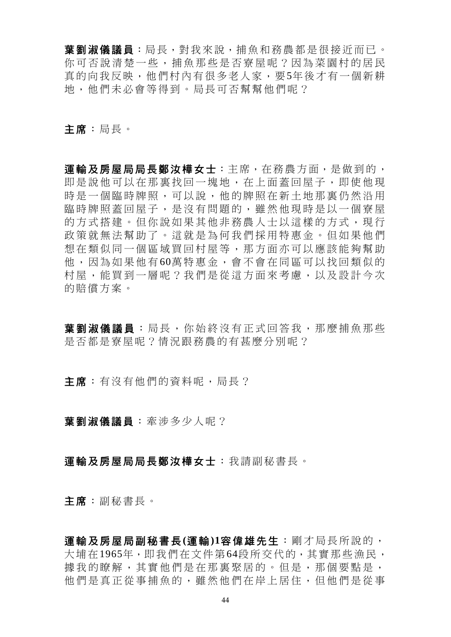葉劉淑儀議員:局長,對我來說,捕魚和務農都是很接近而已。 你可否說清楚一些,捕魚那些是否寮屋呢?因為菜園村的居民 真的向我反映,他們村內有很多老人家,要5年後才有一個新耕 地,他們未必會等得到。局長可否幫幫他們呢?

主席:局長。

運輸及房屋局局長鄭汝樺女士:主席,在務農方面,是做到的, 即是說他可以在那裏找回一塊地,在上面蓋回屋子,即使他現 時是一個臨時牌照,可以說,他的牌照在新土地那裏仍然沿用 臨時牌照蓋回屋子,是沒有問題的,雖然他現時是以一個寮屋 的方式搭建。但你說如果其他非務農人士以這樣的方式,現行 政策就無法幫助了。這就是為何我們採用特惠金。但如果他們 想在類似同一個區域買回村屋等,那方面亦可以應該能夠幫助 他,因為如果他有 60萬特惠金,會不會在同區可以找回類似的 村屋,能買到一層呢?我們是從這方面來考慮,以及設計今次 的賠償方案。

草劉淑儀議員:局長,你始終沒有正式回答我,那麼捕鱼那些 是否都是寮屋呢?情況跟務農的有甚麼分別呢?

主席:有沒有他們的資料呢,局長?

葉劉淑儀議員:牽涉多少人呢?

### 運輸及房屋局局長鄭汝樺女士:我請副秘書長。

主席:副秘書長。

運輸及房屋局副秘書長**(**運輸**)1**容偉雄先生:剛才局長所說的, 大埔在1965年,即我們在文件第64段所交代的,其實那些漁民, 據我的瞭解,其實他們是在那裏聚居的。但是,那個要點是, 他們是真正從事捕魚的,雖然他們在岸上居住,但他們是從事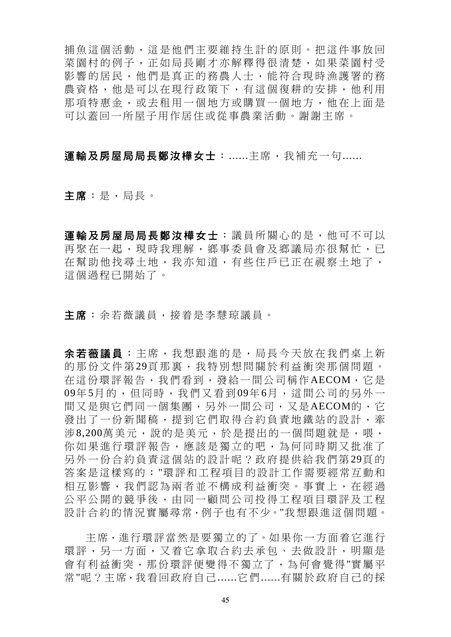捕魚這個活動,這是他們主要維持生計的原則。把這件事放回 菜園村的例子,正如局長剛才亦解釋得很清楚,如果菜園村受 影響的居民,他們是真正的務農人士,能符合現時漁護署的務 農資格,他是可以在現行政策下,有這個復耕的安排,他利用 那項特惠金,或去租用一個地方或購買一個地方,他在上面是 可以蓋回一所屋子用作居住或從事農業活動。謝謝主席。

運輸及房屋局局長鄭汝樺女士:......主席,我補充一句......

主席:是,局長。

軍輸及房屋局局長鄭汝樺女士:議員所關心的是,他可不可以 再聚在一起,現時我理解,鄉事委員會及鄉議局亦很幫忙,已 在幫助他找尋土地,我亦知道,有些住戶已正在視察土地了, 這個過程已開始了。

主席:余若薇議員,接着是李慧琼議員。

余若薇議員 :主席,我想跟進的是,局長今天放在我們桌上新 的那份文件第29頁那裏,我特別想問關於利益衝突那個問題。 在這份環評報告,我們看到,發給一間公司稱作AECOM,它是 09年 5月的,但同時,我們又看到 09年 6月,這間公司的另外一 間又是與它們同一個集團,另外一間公司,又是AECOM的,它 發出了一份新聞稿,提到它們取得合約負責地鐵站的設計,牽 涉8,200萬美元,說的是美元,於是提出的一個問題就是,喂, 你如果進行環評報告,應該是獨立的吧,為何同時期又批准了 另外一份合約負責這個站的設計呢?政府提供給我們第29頁的 答案是這樣寫的:"環評和工程項目的設計工作需要經常互動和 相互影響,我們認為兩者並不構成利益衝突。事實上,在經過 公平公開的競爭後,由同一顧問公司投得工程項目環評及工程 設計合約的情況實屬尋常,例子也有不少。"我想跟進這個問題。

主席,進行環評當然是要獨立的了。如果你一方面着它進行 環評,另一方面,又着它拿取合約去承包、去做設計,明顯是 會有利益衝突,那份環評便變得不獨立了,為何會覺得"實屬平 常"呢?主席,我看回政府自己......它們......有關於政府自己的採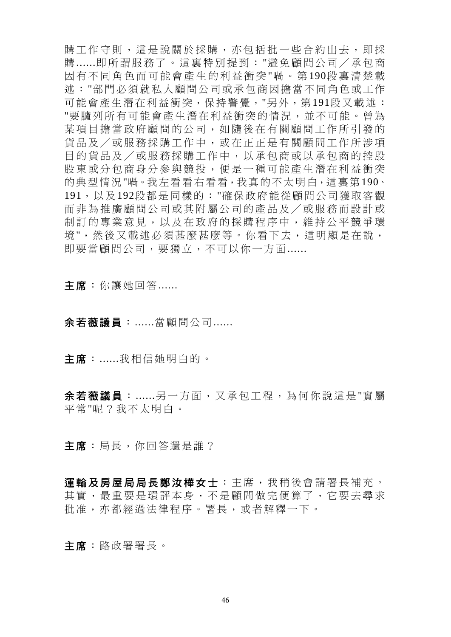購工作守則,這是說關於採購,亦包括批一些合約出去,即採 購 ......即所謂服務了。這裏特別提到:"避免顧問公司/承包商 因有不同角色而可能會產生的利益衝突 "喎。第 190段裏清楚載 述:"部門必須就私人顧問公司或承包商因擔當不同角色或工作 可能會產生潛在利益衝突,保持警覺,"另外,第191段又載述: "要臚列所有可能會產生潛在利益衝突的情況,並不可能。曾為 某項目擔當政府顧問的公司,如隨後在有關顧問工作所引發的 貨品及/或服務採購工作中,或在正正是有關顧問工作所涉項 目的貨品及/或服務採購工作中,以承包商或以承包商的控股 股東或分包商身分參與競投,便是一種可能產生潛在利益衝突 的典型情況"喎。我左看看右看看,我真的不太明白,這裏第190、 191,以及192段都是同樣的:"確保政府能從顧問公司獲取客觀 而非為推廣顧問公司或其附屬公司的產品及/或服務而設計或 制訂的專業意見,以及在政府的採購程序中,維持公平競爭環 境",然後又載述必須甚麼甚麼等。你看下去,這明顯是在說, 即要當顧問公司,要獨立,不可以你一方面......

主席:你讓她回答......

# 余若薇議員:......當顧問公司......

主席:......我相信她明白的。

余若薇議員:......另一方面,又承包工程,為何你說這是"實屬 平常"呢?我不太明白。

主席:局長,你回答還是誰?

運輸及房屋局局長鄭汝樺女士:主席,我稍後會請署長補充。 其實,最重要是環評本身,不是顧問做完便算了,它要去尋求 批准,亦都經過法律程序。署長,或者解釋一下。

主席:路政署署長。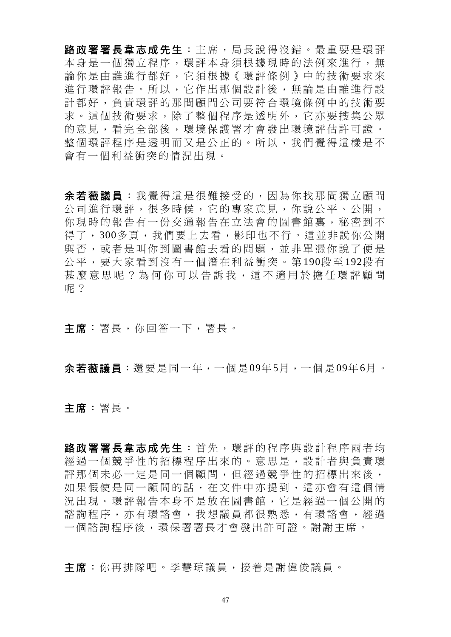路政署署長韋志成先生:主席,局長說得沒錯。最重要是環評 本身是一個獨立程序,環評本身須根據現時的法例來進行,無 論你是由誰進行都好,它須根據《環評條例》中的技術要求來 進行環評報告。所以,它作出那個設計後,無論是由誰進行設 計都好,負責環評的那間顧問公司要符合環境條例中的技術要 求。這個技術要求,除了整個程序是透明外,它亦要搜集公眾 的意見,看完全部後,環境保護署才會發出環境評估許可證。 整個環評程序是透明而又是公正的。所以,我們覺得這樣是不 會有一個利益衝突的情況出現。

余若薇議員 :我覺得這是很難接受的,因為你找那間獨立顧問 公司進行環評,很多時候,它的專家意見,你說公平、公開, 你現時的報告有一份交通報告在立法會的圖書館裏,秘密到不 得了,300多頁,我們要上去看,影印也不行。這並非說你公開 與否,或者是叫你到圖書館去看的問題,並非單憑你說了便是 公平,要大家看到沒有一個潛在利益衝突。第 190段 至 192段 有 甚麼意思呢?為何你可以告訴我,這不適用於擔任環評顧問 呢?

主席:署長,你回答一下,署長。

余若薇議員:還要是同一年,一個是09年5月,一個是09年6月。

主席:署長。

路政署署長韋志成先生:首先,環評的程序與設計程序兩者均 經過一個競爭性的招標程序出來的。意思是,設計者與負責環 評那個未必一定是同一個顧問,但經過競爭性的招標出來後, 如果假使是同一顧問的話,在文件中亦提到,這亦會有這個情 況出現。環評報告本身不是放在圖書館,它是經過一個公開的 諮詢程序,亦有環諮會,我想議員都很熟悉,有環諮會,經過 一個諮詢程序後,環保署署長才會發出許可證。謝謝主席。

主席:你再排隊吧。李慧琼議員,接着是謝偉俊議員。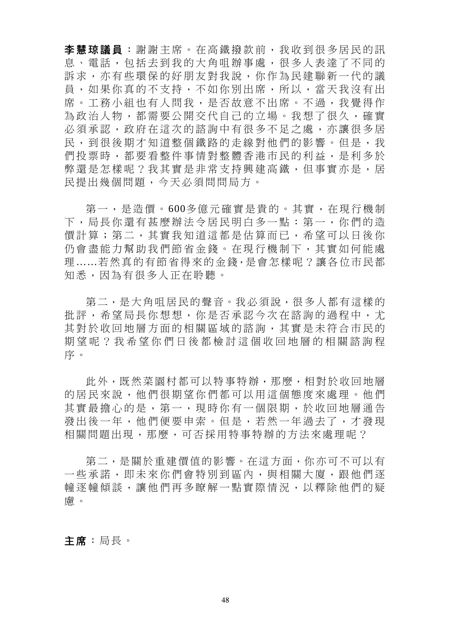李慧琼議員 :謝謝主席。在高鐵撥款前,我收到很多居民的訊 息、電話,包括去到我的大角咀辦事處,很多人表達了不同的 訴求,亦有些環保的好朋友對我說,你作為民建聯新一代的議 員,如果你真的不支持,不如你別出席,所以,當天我沒有出 席。工務小組也有人問我,是否故意不出席。不過,我覺得作 為政治人物,都需要公開交代自己的立場。我想了很久,確實 必須承認,政府在這次的諮詢中有很多不足之處,亦讓很多居 民,到很後期才知道整個鐵路的走線對他們的影響。但是,我 們投票時,都要看整件事情對整體香港市民的利益,是利多於 弊還是怎樣呢?我其實是非常支持興建高鐵,但事實亦是,居 民提出幾個問題,今天必須問問局方。

 第一,是造價。600多億元確實是貴的。其實,在現行機制 下,局長你還有甚麼辦法令居民明白多一點:第一,你們的造 價計算;第二,其實我知道這都是估算而已,希望可以日後你 仍會盡能力幫助我們節省金錢。在現行機制下,其實如何能處 理……若然真的有節省得來的金錢,是會怎樣呢?讓各位市民都 知悉,因為有很多人正在聆聽。

第二,是大角咀居民的聲音。我必須說,很多人都有這樣的 批評,希望局長你想想,你是否承認今次在諮詢的過程中,尤 其對於收回地層方面的相關區域的諮詢,其實是未符合市民的 期望呢?我希望你們日後都檢討這個收回地層的相關諮詢程 序。

 此外,既然菜園村都可以特事特辦,那麼,相對於收回地層 的居民來說,他們很期望你們都可以用這個態度來處理。他們 其實最擔心的是,第一,現時你有一個限期,於收回地層通告 發出後一年,他們便要申索。但是,若然一年過去了,才發現 相關問題出現,那麼,可否採用特事特辦的方法來處理呢?

 第二,是關於重建價值的影響。在這方面,你亦可不可以有 一些承諾,即未來你們會特別到區內,與相關大廈,跟他們逐 幢逐幢傾談,讓他們再多瞭解一點實際情況,以釋除他們的疑 慮。

主席:局長。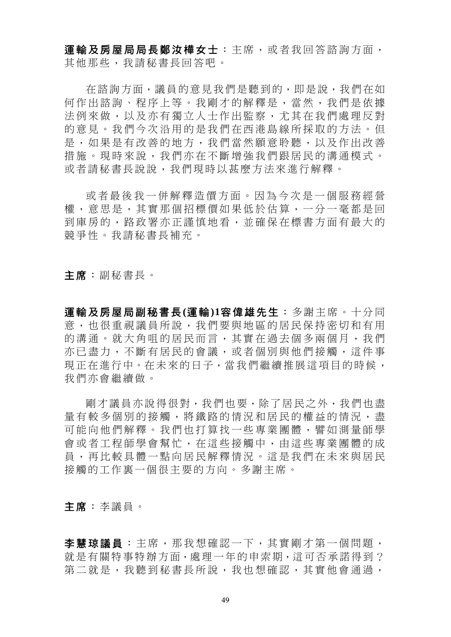運輸及房屋局局長鄭汝樺女士:主席,或者我回答諮詢方面, 其他那些,我請秘書長回答吧。

 在諮詢方面,議員的意見我們是聽到的,即是說,我們在如 何作出諮詢、程序上等。我剛才的解釋是,當然,我們是依據 法例來做,以及亦有獨立人士作出監察,尤其在我們處理反對 的意見。我們今次沿用的是我們在西港島線所採取的方法。但 是,如果是有改善的地方,我們當然願意聆聽,以及作出改善 措施。現時來說,我們亦在不斷增強我們跟居民的溝通模式。 或者請秘書長說說,我們現時以甚麼方法來進行解釋。

 或者最後我一併解釋造價方面。因為今次是一個服務經營 權,意思是,其實那個招標價如果低於估算,一分一毫都是回 到庫房的,路政署亦正謹慎地看,並確保在標書方面有最大的 競爭性。我請秘書長補充。

主席:副秘書長。

運輸及房屋局副秘書長**(**運輸**)1**容偉雄先生:多謝主席。十分同 意,也很重視議員所說,我們要與地區的居民保持密切和有用 的溝通。就大角咀的居民而言,其實在過去個多兩個月,我們 亦已盡力,不斷有居民的會議,或者個別與他們接觸,這件事 現正在進行中。在未來的日子,當我們繼續推展這項目的時候, 我們亦會繼續做。

剛才議員亦說得很對,我們也要,除了居民之外,我們也盡 量有較多個別的接觸,將鐵路的情況和居民的權益的情況,盡 可能向他們解釋。我們也打算找一些專業團體,譬如測量師學 會或者工程師學會幫忙,在這些接觸中,由這些專業團體的成 員,再比較具體一點向居民解釋情況。這是我們在未來與居民 接觸的工作裏一個很主要的方向。多謝主席。

主席:李議員。

李慧琼議員 :主席,那我想確認一下,其實剛才第一個問題, 就是有關特事特辦方面,處理一年的申索期,這可否承諾得到? 第二就是,我聽到秘書長所說,我也想確認,其實他會通過,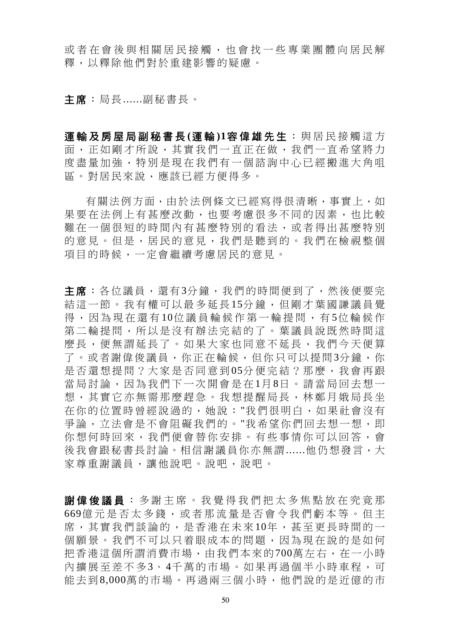或者在會後與相關居民接觸, 也會找一些專業團體向居民解 釋,以釋除他們對於重建影響的疑慮。

主席:局長......副秘書長。

軍輪及房屋局副秘書長(運輪)1容偉雄先生:與居民接觸這方 面,正如剛才所說,其實我們一直正在做,我們一直希望將力 度盡量加強,特別是現在我們有一個諮詢中心已經搬進大角咀 區。對居民來說,應該已經方便得多。

有關法例方面,由於法例條文已經寫得很清晰,事實上,如 果要在法例上有甚麼改動,也要考慮很多不同的因素,也比較 難在一個很短的時間內有甚麼特別的看法,或者得出甚麼特別 的意見。但是,居民的意見,我們是聽到的。我們在檢視整個 項目的時候,一定會繼續考慮居民的意見。

主席:各位議員,還有3分鐘,我們的時間便到了,然後便要完 結這一節。我有權可以最多延長15分鐘,但剛才葉國謙議員覺 得,因為現在還有10位議員輪候作第一輪提問,有5位輪候作 第二輪提問,所以是沒有辦法完結的了。葉議員說既然時間這 麼長,便無謂延長了。如果大家也同意不延長,我們今天便算 了。或者謝偉俊議員,你正在輪候,但你只可以提問3分鐘,你 是否還想提問?大家是否同意到 05分便完結?那麼,我會再跟 當局討論,因為我們下一次開會是在1月8日。請當局回去想一 想,其實它亦無需那麼趕急。我想提醒局長,林鄭月娥局長坐 在你的位置時曾經說過的,她說:"我們很明白,如果社會沒有 爭論,立法會是不會阻礙我們的。"我希望你們回去想一想,即 你想何時回來,我們便會替你安排。有些事情你可以回答,會 後我會跟秘書長討論。相信謝議員你亦無謂......他仍想發言,大 家尊重謝議員,讓他說吧。說吧,說吧。

謝偉俊議員 :多謝主席。我覺得 我們把太多焦點放在究竟那 669億元是否太多錢,或者那流量是否會令我們虧本等。但主 席,其實我們談論的,是香港在未來10年,甚至更長時間的一 個願景。我們不可以只着眼成本的問題,因為現在說的是如何 把香港這個所謂消費市場,由我們本來的700萬左右,在一小時 內擴展至差不多 3、 4千萬的市場。如果再過個半小時車程,可 能去到8,000萬的市場。再過兩三個小時,他們說的是近億的市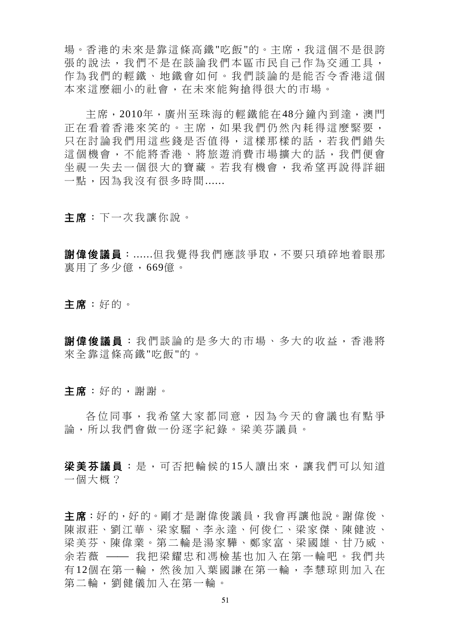場。香港的未來是靠這條高鐵"吃飯"的。主席,我這個不是很誇 張的說法,我們不是在談論我們本區市民自己作為交通工具, 作為我們的輕鐵、地鐵會如何。我們談論的是能否令香港這個 本來這麼細小的社會,在未來能夠搶得很大的市場。

主席,2010年,廣州至珠海的輕鐵能在48分鐘內到達,澳門 正在看着香港來笑的。主席,如果我們仍然內耗得這麼緊要, 只在討論我們用這些錢是否值得,這樣那樣的話,若我們錯失 這個機會,不能將香港、將旅遊消費市場擴大的話,我們便會 坐視一失去一個很大的寶藏。若我有機會,我希望再說得詳細 一點,因為我沒有很多時間......

主席:下一次我讓你說。

**謝偉俊議員**:......但我覺得我們應該爭取,不要只瑣碎地着眼那 裏用了多少億,669億。

主席:好的。

謝偉俊議員 :我們談論的是多大的市場、多大的收益,香港將 來全靠這條高鐵"吃飯"的。

主席:好的,謝謝。

各位同事,我希望大家都同意,因為今天的會議也有點爭 論,所以我們會做一份逐字紀錄。梁美芬議員。

**梁美芬議員**:是,可否把輪候的15人讀出來,讓我們可以知道 一個大概?

主席:好的,好的。剛才是謝偉俊議員,我會再讓他說。謝偉俊、 陳淑莊、劉江華、梁家騮、李永達、何俊仁、梁家傑、陳健波、 梁美芬、陳偉業。第二輪是湯家驊、鄭家富、梁國雄、甘乃威、 余若薇 —— 我把梁耀忠和馮檢基也加入在第一輪吧。我們共 有 12個在第一輪,然後加入葉國謙在第一輪,李慧琼則加入在 第二輪,劉健儀加入在第一輪。